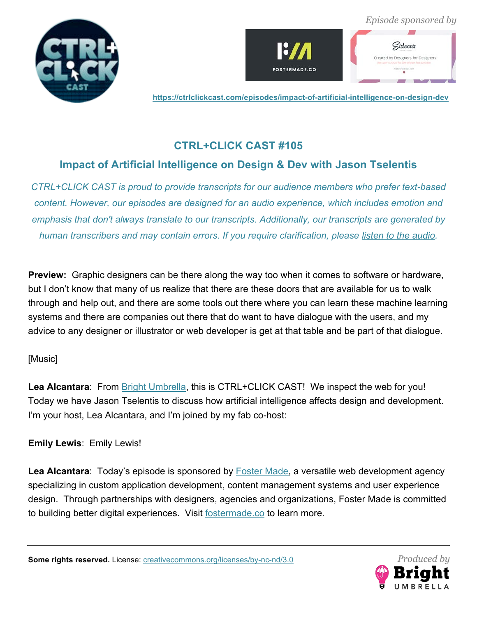





# **CTRL+CLICK CAST #105**

# **Impact of Artificial Intelligence on Design & Dev with Jason Tselentis**

*CTRL+CLICK CAST is proud to provide transcripts for our audience members who prefer text-based content. However, our episodes are designed for an audio experience, which includes emotion and emphasis that don't always translate to our transcripts. Additionally, our transcripts are generated by human transcribers and may contain errors. If you require clarification, please listen to the audio.*

**Preview:** Graphic designers can be there along the way too when it comes to software or hardware, but I don't know that many of us realize that there are these doors that are available for us to walk through and help out, and there are some tools out there where you can learn these machine learning systems and there are companies out there that do want to have dialogue with the users, and my advice to any designer or illustrator or web developer is get at that table and be part of that dialogue.

# [Music]

**Lea Alcantara**: From Bright Umbrella, this is CTRL+CLICK CAST! We inspect the web for you! Today we have Jason Tselentis to discuss how artificial intelligence affects design and development. I'm your host, Lea Alcantara, and I'm joined by my fab co-host:

**Emily Lewis**: Emily Lewis!

Lea Alcantara: Today's episode is sponsored by **Foster Made**, a versatile web development agency specializing in custom application development, content management systems and user experience design. Through partnerships with designers, agencies and organizations, Foster Made is committed to building better digital experiences. Visit fostermade.co to learn more.

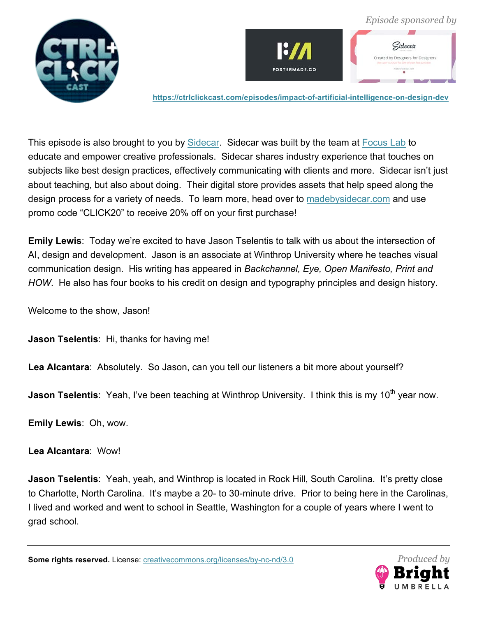



This episode is also brought to you by Sidecar. Sidecar was built by the team at Focus Lab to educate and empower creative professionals. Sidecar shares industry experience that touches on subjects like best design practices, effectively communicating with clients and more. Sidecar isn't just about teaching, but also about doing. Their digital store provides assets that help speed along the design process for a variety of needs. To learn more, head over to madebysidecar.com and use promo code "CLICK20" to receive 20% off on your first purchase!

**Emily Lewis**: Today we're excited to have Jason Tselentis to talk with us about the intersection of AI, design and development. Jason is an associate at Winthrop University where he teaches visual communication design. His writing has appeared in *Backchannel, Eye, Open Manifesto, Print and HOW*. He also has four books to his credit on design and typography principles and design history.

Welcome to the show, Jason!

**Jason Tselentis**: Hi, thanks for having me!

**Lea Alcantara**: Absolutely. So Jason, can you tell our listeners a bit more about yourself?

**Jason Tselentis**: Yeah, I've been teaching at Winthrop University. I think this is my 10<sup>th</sup> year now.

**Emily Lewis**: Oh, wow.

**Lea Alcantara**: Wow!

**Jason Tselentis**: Yeah, yeah, and Winthrop is located in Rock Hill, South Carolina. It's pretty close to Charlotte, North Carolina. It's maybe a 20- to 30-minute drive. Prior to being here in the Carolinas, I lived and worked and went to school in Seattle, Washington for a couple of years where I went to grad school.

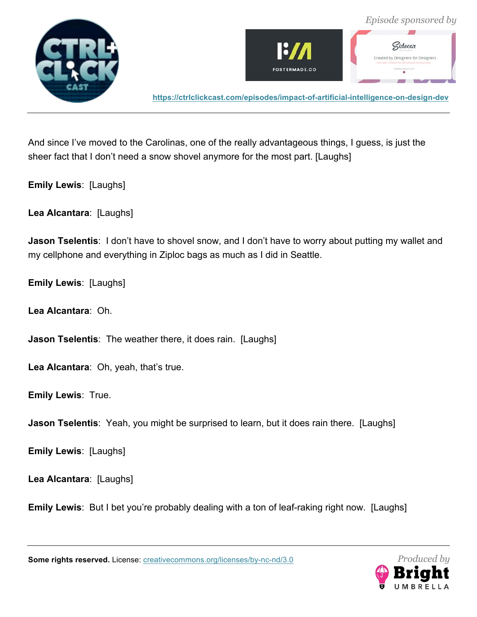



And since I've moved to the Carolinas, one of the really advantageous things, I guess, is just the sheer fact that I don't need a snow shovel anymore for the most part. [Laughs]

**Emily Lewis**: [Laughs]

**Lea Alcantara**: [Laughs]

**Jason Tselentis**: I don't have to shovel snow, and I don't have to worry about putting my wallet and my cellphone and everything in Ziploc bags as much as I did in Seattle.

**Emily Lewis**: [Laughs]

**Lea Alcantara**: Oh.

**Jason Tselentis**: The weather there, it does rain. [Laughs]

**Lea Alcantara**: Oh, yeah, that's true.

**Emily Lewis**: True.

**Jason Tselentis**: Yeah, you might be surprised to learn, but it does rain there. [Laughs]

**Emily Lewis**: [Laughs]

**Lea Alcantara**: [Laughs]

**Emily Lewis**: But I bet you're probably dealing with a ton of leaf-raking right now. [Laughs]

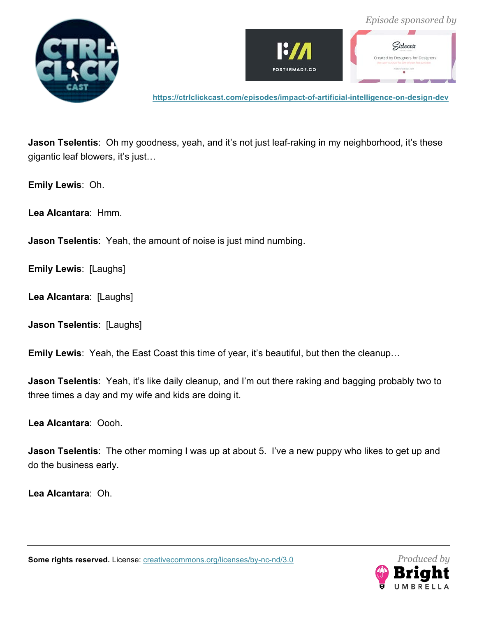



**Jason Tselentis**: Oh my goodness, yeah, and it's not just leaf-raking in my neighborhood, it's these gigantic leaf blowers, it's just…

**Emily Lewis**: Oh.

**Lea Alcantara**: Hmm.

**Jason Tselentis**: Yeah, the amount of noise is just mind numbing.

**Emily Lewis**: [Laughs]

**Lea Alcantara**: [Laughs]

**Jason Tselentis**: [Laughs]

**Emily Lewis**: Yeah, the East Coast this time of year, it's beautiful, but then the cleanup…

**Jason Tselentis**: Yeah, it's like daily cleanup, and I'm out there raking and bagging probably two to three times a day and my wife and kids are doing it.

**Lea Alcantara**: Oooh.

**Jason Tselentis**: The other morning I was up at about 5. I've a new puppy who likes to get up and do the business early.

**Lea Alcantara**: Oh.

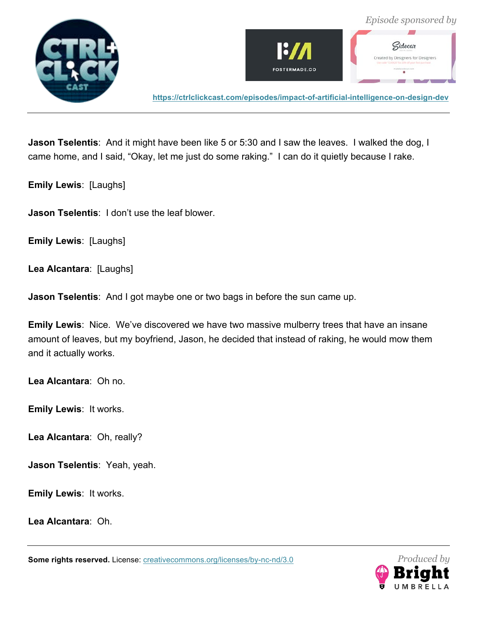



**Jason Tselentis**: And it might have been like 5 or 5:30 and I saw the leaves. I walked the dog, I came home, and I said, "Okay, let me just do some raking." I can do it quietly because I rake.

**Emily Lewis**: [Laughs]

**Jason Tselentis**: I don't use the leaf blower.

**Emily Lewis**: [Laughs]

**Lea Alcantara**: [Laughs]

**Jason Tselentis**: And I got maybe one or two bags in before the sun came up.

**Emily Lewis**: Nice. We've discovered we have two massive mulberry trees that have an insane amount of leaves, but my boyfriend, Jason, he decided that instead of raking, he would mow them and it actually works.

**Lea Alcantara**: Oh no.

**Emily Lewis**: It works.

**Lea Alcantara**: Oh, really?

**Jason Tselentis**: Yeah, yeah.

**Emily Lewis**: It works.

**Lea Alcantara**: Oh.

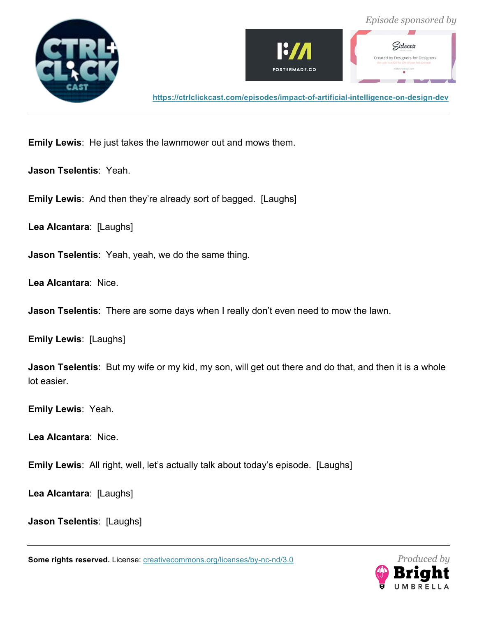



**Emily Lewis**: He just takes the lawnmower out and mows them.

**Jason Tselentis**: Yeah.

**Emily Lewis**: And then they're already sort of bagged. [Laughs]

**Lea Alcantara**: [Laughs]

**Jason Tselentis**: Yeah, yeah, we do the same thing.

**Lea Alcantara**: Nice.

**Jason Tselentis**: There are some days when I really don't even need to mow the lawn.

**Emily Lewis**: [Laughs]

**Jason Tselentis**: But my wife or my kid, my son, will get out there and do that, and then it is a whole lot easier.

**Emily Lewis**: Yeah.

**Lea Alcantara**: Nice.

**Emily Lewis**: All right, well, let's actually talk about today's episode. [Laughs]

**Lea Alcantara**: [Laughs]

**Jason Tselentis**: [Laughs]

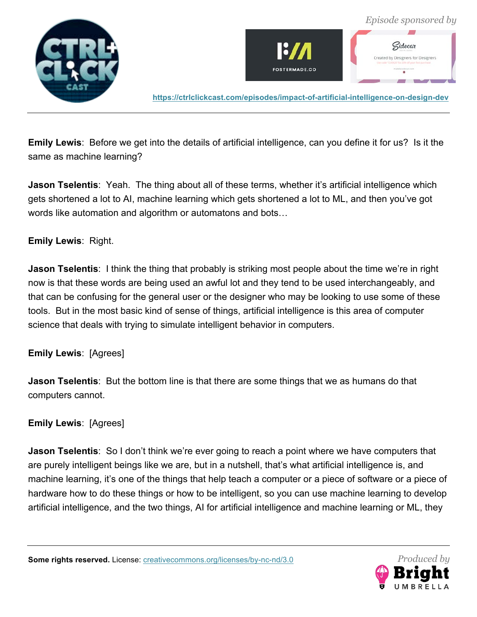



**Emily Lewis**: Before we get into the details of artificial intelligence, can you define it for us? Is it the same as machine learning?

**Jason Tselentis**: Yeah. The thing about all of these terms, whether it's artificial intelligence which gets shortened a lot to AI, machine learning which gets shortened a lot to ML, and then you've got words like automation and algorithm or automatons and bots…

#### **Emily Lewis**: Right.

**Jason Tselentis**: I think the thing that probably is striking most people about the time we're in right now is that these words are being used an awful lot and they tend to be used interchangeably, and that can be confusing for the general user or the designer who may be looking to use some of these tools. But in the most basic kind of sense of things, artificial intelligence is this area of computer science that deals with trying to simulate intelligent behavior in computers.

#### **Emily Lewis**: [Agrees]

**Jason Tselentis**: But the bottom line is that there are some things that we as humans do that computers cannot.

# **Emily Lewis**: [Agrees]

**Jason Tselentis**: So I don't think we're ever going to reach a point where we have computers that are purely intelligent beings like we are, but in a nutshell, that's what artificial intelligence is, and machine learning, it's one of the things that help teach a computer or a piece of software or a piece of hardware how to do these things or how to be intelligent, so you can use machine learning to develop artificial intelligence, and the two things, AI for artificial intelligence and machine learning or ML, they

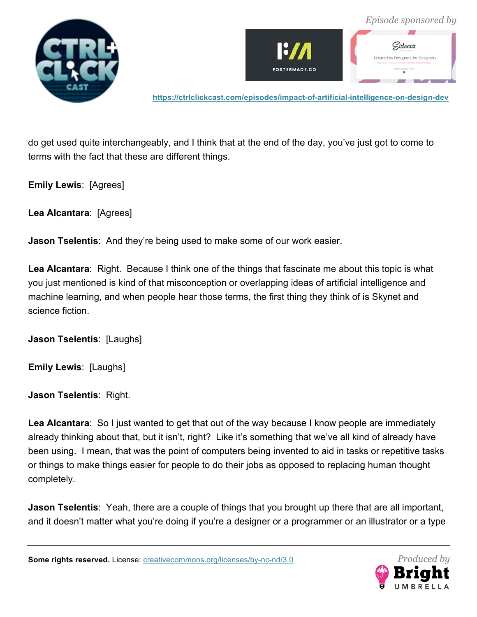



do get used quite interchangeably, and I think that at the end of the day, you've just got to come to terms with the fact that these are different things.

**Emily Lewis**: [Agrees]

**Lea Alcantara**: [Agrees]

**Jason Tselentis**: And they're being used to make some of our work easier.

**Lea Alcantara**: Right. Because I think one of the things that fascinate me about this topic is what you just mentioned is kind of that misconception or overlapping ideas of artificial intelligence and machine learning, and when people hear those terms, the first thing they think of is Skynet and science fiction.

**Jason Tselentis**: [Laughs]

**Emily Lewis**: [Laughs]

**Jason Tselentis**: Right.

**Lea Alcantara**: So I just wanted to get that out of the way because I know people are immediately already thinking about that, but it isn't, right? Like it's something that we've all kind of already have been using. I mean, that was the point of computers being invented to aid in tasks or repetitive tasks or things to make things easier for people to do their jobs as opposed to replacing human thought completely.

**Jason Tselentis**: Yeah, there are a couple of things that you brought up there that are all important, and it doesn't matter what you're doing if you're a designer or a programmer or an illustrator or a type

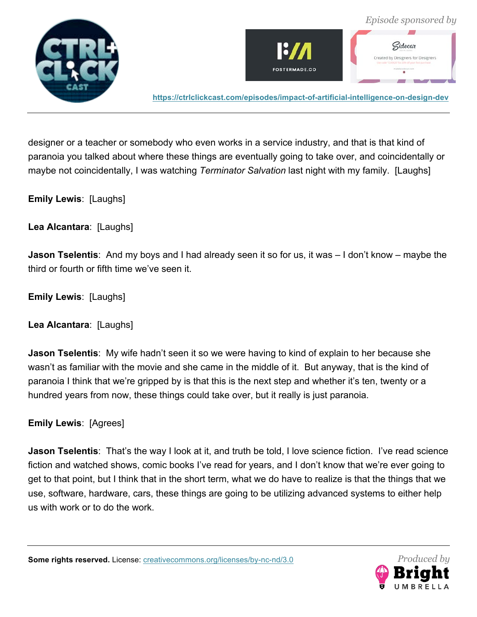



designer or a teacher or somebody who even works in a service industry, and that is that kind of paranoia you talked about where these things are eventually going to take over, and coincidentally or maybe not coincidentally, I was watching *Terminator Salvation* last night with my family. [Laughs]

**Emily Lewis**: [Laughs]

**Lea Alcantara**: [Laughs]

**Jason Tselentis**: And my boys and I had already seen it so for us, it was – I don't know – maybe the third or fourth or fifth time we've seen it.

**Emily Lewis**: [Laughs]

**Lea Alcantara**: [Laughs]

**Jason Tselentis**: My wife hadn't seen it so we were having to kind of explain to her because she wasn't as familiar with the movie and she came in the middle of it. But anyway, that is the kind of paranoia I think that we're gripped by is that this is the next step and whether it's ten, twenty or a hundred years from now, these things could take over, but it really is just paranoia.

**Emily Lewis**: [Agrees]

**Jason Tselentis**: That's the way I look at it, and truth be told, I love science fiction. I've read science fiction and watched shows, comic books I've read for years, and I don't know that we're ever going to get to that point, but I think that in the short term, what we do have to realize is that the things that we use, software, hardware, cars, these things are going to be utilizing advanced systems to either help us with work or to do the work.

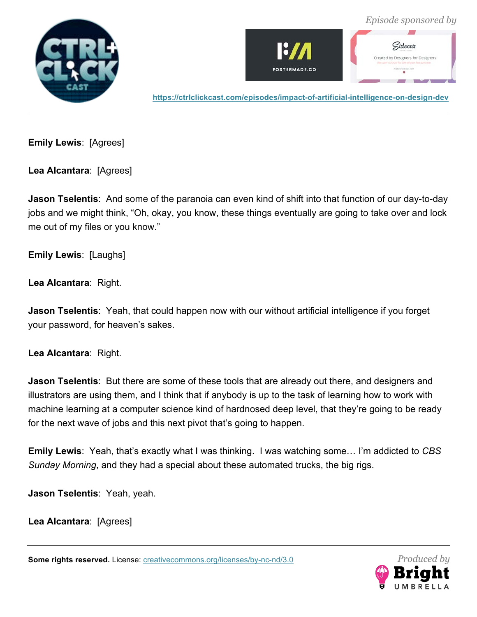



**Emily Lewis**: [Agrees]

**Lea Alcantara**: [Agrees]

**Jason Tselentis**: And some of the paranoia can even kind of shift into that function of our day-to-day jobs and we might think, "Oh, okay, you know, these things eventually are going to take over and lock me out of my files or you know."

**Emily Lewis**: [Laughs]

**Lea Alcantara**: Right.

**Jason Tselentis**: Yeah, that could happen now with our without artificial intelligence if you forget your password, for heaven's sakes.

**Lea Alcantara**: Right.

**Jason Tselentis**: But there are some of these tools that are already out there, and designers and illustrators are using them, and I think that if anybody is up to the task of learning how to work with machine learning at a computer science kind of hardnosed deep level, that they're going to be ready for the next wave of jobs and this next pivot that's going to happen.

**Emily Lewis**: Yeah, that's exactly what I was thinking. I was watching some… I'm addicted to *CBS Sunday Morning*, and they had a special about these automated trucks, the big rigs.

**Jason Tselentis**: Yeah, yeah.

**Lea Alcantara**: [Agrees]

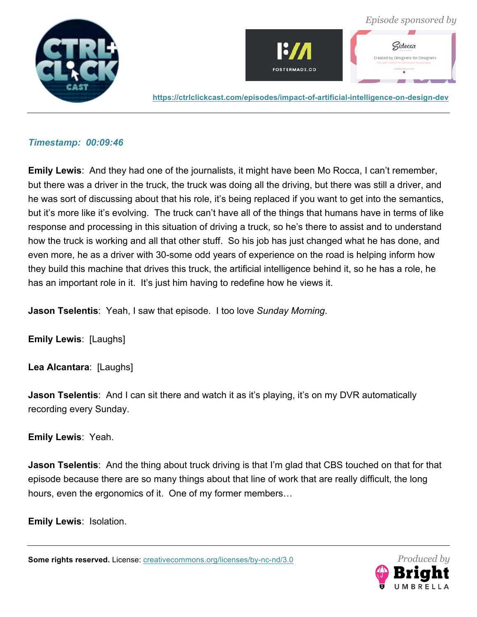



 $G$ idec $\omega$ r

**https://ctrlclickcast.com/episodes/impact-of-artificial-intelligence-on-design-dev**

#### *Timestamp: 00:09:46*

**Emily Lewis**: And they had one of the journalists, it might have been Mo Rocca, I can't remember, but there was a driver in the truck, the truck was doing all the driving, but there was still a driver, and he was sort of discussing about that his role, it's being replaced if you want to get into the semantics, but it's more like it's evolving. The truck can't have all of the things that humans have in terms of like response and processing in this situation of driving a truck, so he's there to assist and to understand how the truck is working and all that other stuff. So his job has just changed what he has done, and even more, he as a driver with 30-some odd years of experience on the road is helping inform how they build this machine that drives this truck, the artificial intelligence behind it, so he has a role, he has an important role in it. It's just him having to redefine how he views it.

**Jason Tselentis**: Yeah, I saw that episode. I too love *Sunday Morning*.

**Emily Lewis**: [Laughs]

**Lea Alcantara**: [Laughs]

**Jason Tselentis**: And I can sit there and watch it as it's playing, it's on my DVR automatically recording every Sunday.

**Emily Lewis**: Yeah.

**Jason Tselentis**: And the thing about truck driving is that I'm glad that CBS touched on that for that episode because there are so many things about that line of work that are really difficult, the long hours, even the ergonomics of it. One of my former members…

**Emily Lewis**: Isolation.

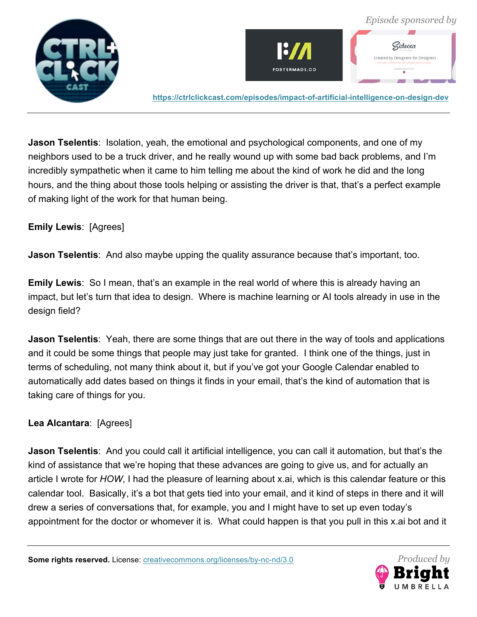



 $G$ idec $\omega$ r

**https://ctrlclickcast.com/episodes/impact-of-artificial-intelligence-on-design-dev**

**Jason Tselentis**: Isolation, yeah, the emotional and psychological components, and one of my neighbors used to be a truck driver, and he really wound up with some bad back problems, and I'm incredibly sympathetic when it came to him telling me about the kind of work he did and the long hours, and the thing about those tools helping or assisting the driver is that, that's a perfect example of making light of the work for that human being.

## **Emily Lewis**: [Agrees]

**Jason Tselentis**: And also maybe upping the quality assurance because that's important, too.

**Emily Lewis**: So I mean, that's an example in the real world of where this is already having an impact, but let's turn that idea to design. Where is machine learning or AI tools already in use in the design field?

**Jason Tselentis**: Yeah, there are some things that are out there in the way of tools and applications and it could be some things that people may just take for granted. I think one of the things, just in terms of scheduling, not many think about it, but if you've got your Google Calendar enabled to automatically add dates based on things it finds in your email, that's the kind of automation that is taking care of things for you.

# **Lea Alcantara**: [Agrees]

**Jason Tselentis**: And you could call it artificial intelligence, you can call it automation, but that's the kind of assistance that we're hoping that these advances are going to give us, and for actually an article I wrote for *HOW*, I had the pleasure of learning about x.ai, which is this calendar feature or this calendar tool. Basically, it's a bot that gets tied into your email, and it kind of steps in there and it will drew a series of conversations that, for example, you and I might have to set up even today's appointment for the doctor or whomever it is. What could happen is that you pull in this x.ai bot and it

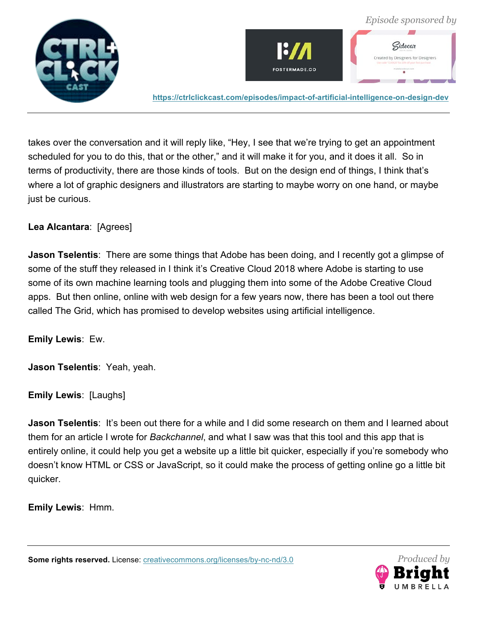



takes over the conversation and it will reply like, "Hey, I see that we're trying to get an appointment scheduled for you to do this, that or the other," and it will make it for you, and it does it all. So in terms of productivity, there are those kinds of tools. But on the design end of things, I think that's where a lot of graphic designers and illustrators are starting to maybe worry on one hand, or maybe just be curious.

# **Lea Alcantara**: [Agrees]

**Jason Tselentis**: There are some things that Adobe has been doing, and I recently got a glimpse of some of the stuff they released in I think it's Creative Cloud 2018 where Adobe is starting to use some of its own machine learning tools and plugging them into some of the Adobe Creative Cloud apps. But then online, online with web design for a few years now, there has been a tool out there called The Grid, which has promised to develop websites using artificial intelligence.

**Emily Lewis**: Ew.

**Jason Tselentis**: Yeah, yeah.

**Emily Lewis**: [Laughs]

**Jason Tselentis**: It's been out there for a while and I did some research on them and I learned about them for an article I wrote for *Backchannel*, and what I saw was that this tool and this app that is entirely online, it could help you get a website up a little bit quicker, especially if you're somebody who doesn't know HTML or CSS or JavaScript, so it could make the process of getting online go a little bit quicker.

**Emily Lewis**: Hmm.

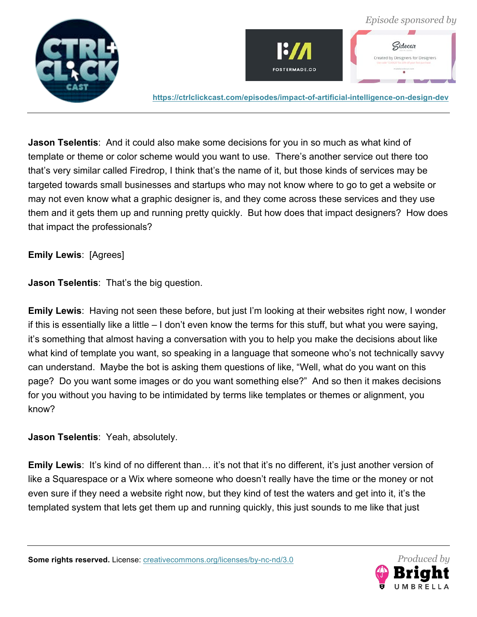



 $G$ idec $\omega$ r Created by Designers for Designer

**https://ctrlclickcast.com/episodes/impact-of-artificial-intelligence-on-design-dev**

**Jason Tselentis**: And it could also make some decisions for you in so much as what kind of template or theme or color scheme would you want to use. There's another service out there too that's very similar called Firedrop, I think that's the name of it, but those kinds of services may be targeted towards small businesses and startups who may not know where to go to get a website or may not even know what a graphic designer is, and they come across these services and they use them and it gets them up and running pretty quickly. But how does that impact designers? How does that impact the professionals?

**Emily Lewis**: [Agrees]

**Jason Tselentis**: That's the big question.

**Emily Lewis**: Having not seen these before, but just I'm looking at their websites right now, I wonder if this is essentially like a little – I don't even know the terms for this stuff, but what you were saying, it's something that almost having a conversation with you to help you make the decisions about like what kind of template you want, so speaking in a language that someone who's not technically savvy can understand. Maybe the bot is asking them questions of like, "Well, what do you want on this page? Do you want some images or do you want something else?" And so then it makes decisions for you without you having to be intimidated by terms like templates or themes or alignment, you know?

**Jason Tselentis**: Yeah, absolutely.

**Emily Lewis**: It's kind of no different than... it's not that it's no different, it's just another version of like a Squarespace or a Wix where someone who doesn't really have the time or the money or not even sure if they need a website right now, but they kind of test the waters and get into it, it's the templated system that lets get them up and running quickly, this just sounds to me like that just

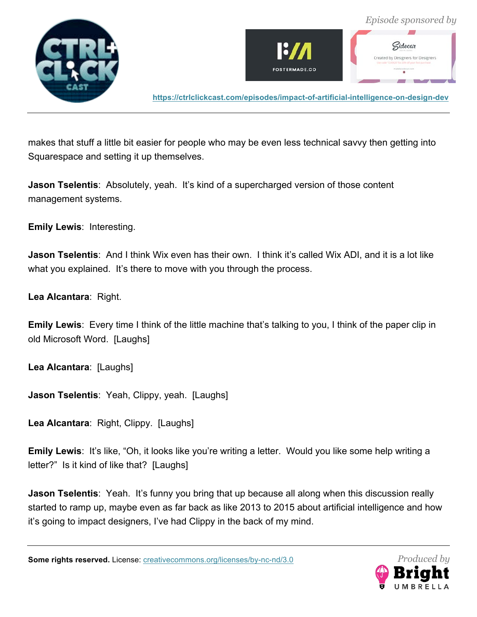



makes that stuff a little bit easier for people who may be even less technical savvy then getting into Squarespace and setting it up themselves.

**Jason Tselentis**: Absolutely, yeah. It's kind of a supercharged version of those content management systems.

**Emily Lewis**: Interesting.

**Jason Tselentis**: And I think Wix even has their own. I think it's called Wix ADI, and it is a lot like what you explained. It's there to move with you through the process.

**Lea Alcantara**: Right.

**Emily Lewis**: Every time I think of the little machine that's talking to you, I think of the paper clip in old Microsoft Word. [Laughs]

**Lea Alcantara**: [Laughs]

**Jason Tselentis**: Yeah, Clippy, yeah. [Laughs]

**Lea Alcantara**: Right, Clippy. [Laughs]

**Emily Lewis:** It's like, "Oh, it looks like you're writing a letter. Would you like some help writing a letter?" Is it kind of like that? [Laughs]

**Jason Tselentis**: Yeah. It's funny you bring that up because all along when this discussion really started to ramp up, maybe even as far back as like 2013 to 2015 about artificial intelligence and how it's going to impact designers, I've had Clippy in the back of my mind.

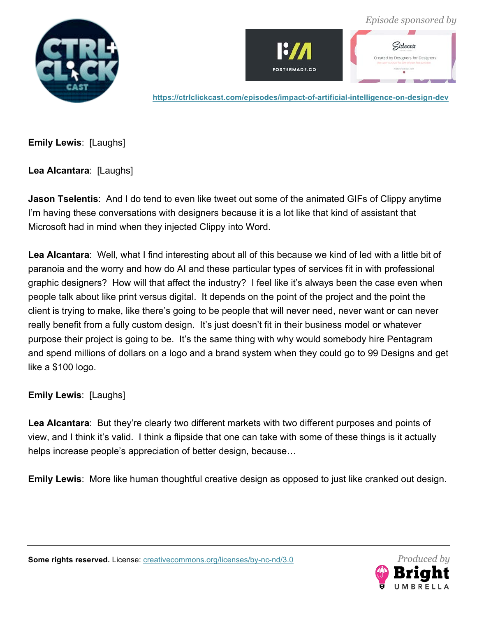



 $G$ idec $\omega$ r Created by Designers for Designer

**https://ctrlclickcast.com/episodes/impact-of-artificial-intelligence-on-design-dev**

**Emily Lewis**: [Laughs]

**Lea Alcantara**: [Laughs]

**Jason Tselentis**: And I do tend to even like tweet out some of the animated GIFs of Clippy anytime I'm having these conversations with designers because it is a lot like that kind of assistant that Microsoft had in mind when they injected Clippy into Word.

**Lea Alcantara**: Well, what I find interesting about all of this because we kind of led with a little bit of paranoia and the worry and how do AI and these particular types of services fit in with professional graphic designers? How will that affect the industry? I feel like it's always been the case even when people talk about like print versus digital. It depends on the point of the project and the point the client is trying to make, like there's going to be people that will never need, never want or can never really benefit from a fully custom design. It's just doesn't fit in their business model or whatever purpose their project is going to be. It's the same thing with why would somebody hire Pentagram and spend millions of dollars on a logo and a brand system when they could go to 99 Designs and get like a \$100 logo.

**Emily Lewis**: [Laughs]

**Lea Alcantara**: But they're clearly two different markets with two different purposes and points of view, and I think it's valid. I think a flipside that one can take with some of these things is it actually helps increase people's appreciation of better design, because…

**Emily Lewis**: More like human thoughtful creative design as opposed to just like cranked out design.

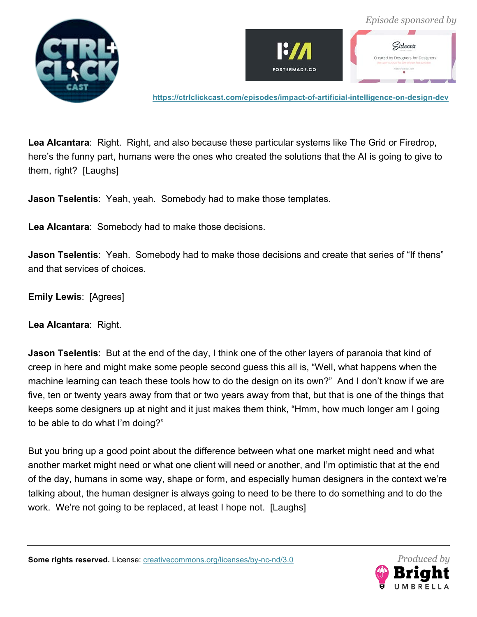



**Lea Alcantara**: Right. Right, and also because these particular systems like The Grid or Firedrop, here's the funny part, humans were the ones who created the solutions that the AI is going to give to them, right? [Laughs]

**Jason Tselentis**: Yeah, yeah. Somebody had to make those templates.

**Lea Alcantara**: Somebody had to make those decisions.

**Jason Tselentis**: Yeah. Somebody had to make those decisions and create that series of "If thens" and that services of choices.

**Emily Lewis**: [Agrees]

**Lea Alcantara**: Right.

**Jason Tselentis**: But at the end of the day, I think one of the other layers of paranoia that kind of creep in here and might make some people second guess this all is, "Well, what happens when the machine learning can teach these tools how to do the design on its own?" And I don't know if we are five, ten or twenty years away from that or two years away from that, but that is one of the things that keeps some designers up at night and it just makes them think, "Hmm, how much longer am I going to be able to do what I'm doing?"

But you bring up a good point about the difference between what one market might need and what another market might need or what one client will need or another, and I'm optimistic that at the end of the day, humans in some way, shape or form, and especially human designers in the context we're talking about, the human designer is always going to need to be there to do something and to do the work. We're not going to be replaced, at least I hope not. [Laughs]

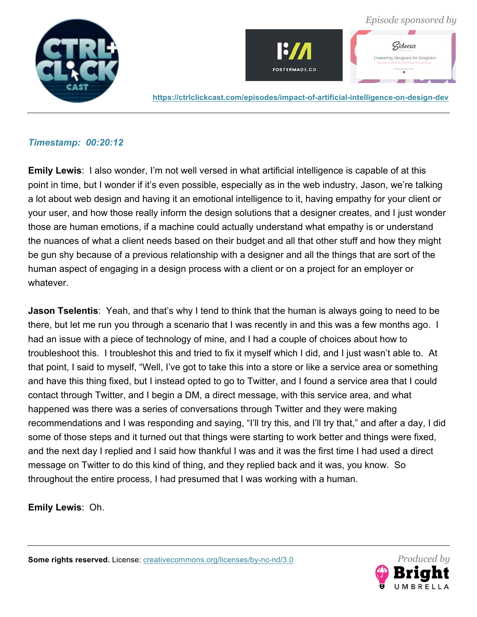



 $G$ idec $\omega$ r Created by Designers for Designers

**https://ctrlclickcast.com/episodes/impact-of-artificial-intelligence-on-design-dev**

## *Timestamp: 00:20:12*

**Emily Lewis**: I also wonder, I'm not well versed in what artificial intelligence is capable of at this point in time, but I wonder if it's even possible, especially as in the web industry, Jason, we're talking a lot about web design and having it an emotional intelligence to it, having empathy for your client or your user, and how those really inform the design solutions that a designer creates, and I just wonder those are human emotions, if a machine could actually understand what empathy is or understand the nuances of what a client needs based on their budget and all that other stuff and how they might be gun shy because of a previous relationship with a designer and all the things that are sort of the human aspect of engaging in a design process with a client or on a project for an employer or whatever.

**Jason Tselentis**: Yeah, and that's why I tend to think that the human is always going to need to be there, but let me run you through a scenario that I was recently in and this was a few months ago. I had an issue with a piece of technology of mine, and I had a couple of choices about how to troubleshoot this. I troubleshot this and tried to fix it myself which I did, and I just wasn't able to. At that point, I said to myself, "Well, I've got to take this into a store or like a service area or something and have this thing fixed, but I instead opted to go to Twitter, and I found a service area that I could contact through Twitter, and I begin a DM, a direct message, with this service area, and what happened was there was a series of conversations through Twitter and they were making recommendations and I was responding and saying, "I'll try this, and I'll try that," and after a day, I did some of those steps and it turned out that things were starting to work better and things were fixed, and the next day I replied and I said how thankful I was and it was the first time I had used a direct message on Twitter to do this kind of thing, and they replied back and it was, you know. So throughout the entire process, I had presumed that I was working with a human.

**Emily Lewis**: Oh.

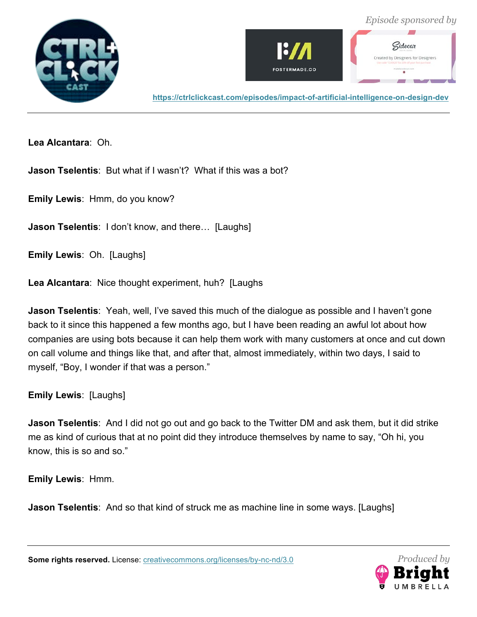





**Lea Alcantara**: Oh.

**Jason Tselentis**: But what if I wasn't? What if this was a bot?

**Emily Lewis**: Hmm, do you know?

**Jason Tselentis**: I don't know, and there… [Laughs]

**Emily Lewis**: Oh. [Laughs]

**Lea Alcantara**: Nice thought experiment, huh? [Laughs

**Jason Tselentis**: Yeah, well, I've saved this much of the dialogue as possible and I haven't gone back to it since this happened a few months ago, but I have been reading an awful lot about how companies are using bots because it can help them work with many customers at once and cut down on call volume and things like that, and after that, almost immediately, within two days, I said to myself, "Boy, I wonder if that was a person."

**Emily Lewis**: [Laughs]

**Jason Tselentis**: And I did not go out and go back to the Twitter DM and ask them, but it did strike me as kind of curious that at no point did they introduce themselves by name to say, "Oh hi, you know, this is so and so."

**Emily Lewis**: Hmm.

**Jason Tselentis**: And so that kind of struck me as machine line in some ways. [Laughs]

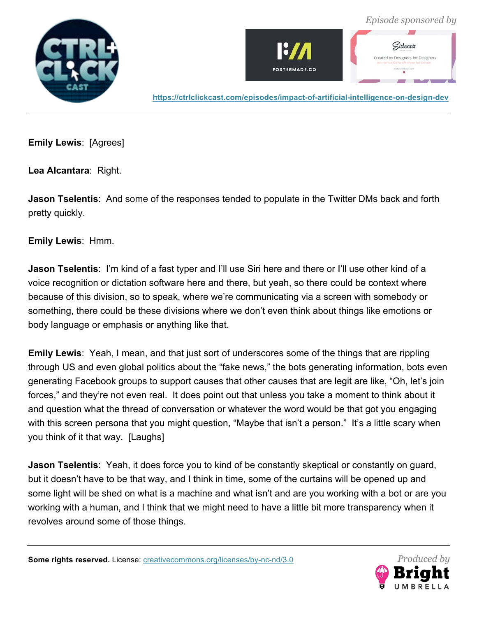





**Emily Lewis**: [Agrees]

**Lea Alcantara**: Right.

**Jason Tselentis**: And some of the responses tended to populate in the Twitter DMs back and forth pretty quickly.

**Emily Lewis**: Hmm.

**Jason Tselentis**: I'm kind of a fast typer and I'll use Siri here and there or I'll use other kind of a voice recognition or dictation software here and there, but yeah, so there could be context where because of this division, so to speak, where we're communicating via a screen with somebody or something, there could be these divisions where we don't even think about things like emotions or body language or emphasis or anything like that.

**Emily Lewis**: Yeah, I mean, and that just sort of underscores some of the things that are rippling through US and even global politics about the "fake news," the bots generating information, bots even generating Facebook groups to support causes that other causes that are legit are like, "Oh, let's join forces," and they're not even real. It does point out that unless you take a moment to think about it and question what the thread of conversation or whatever the word would be that got you engaging with this screen persona that you might question, "Maybe that isn't a person." It's a little scary when you think of it that way. [Laughs]

**Jason Tselentis**: Yeah, it does force you to kind of be constantly skeptical or constantly on guard, but it doesn't have to be that way, and I think in time, some of the curtains will be opened up and some light will be shed on what is a machine and what isn't and are you working with a bot or are you working with a human, and I think that we might need to have a little bit more transparency when it revolves around some of those things.

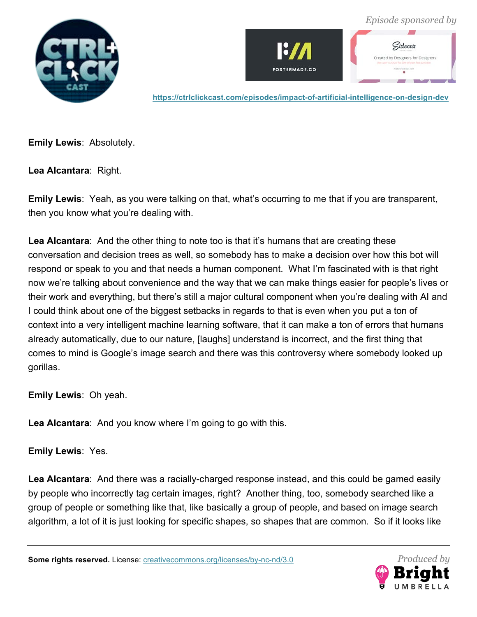





**Emily Lewis**: Absolutely.

**Lea Alcantara**: Right.

**Emily Lewis**: Yeah, as you were talking on that, what's occurring to me that if you are transparent, then you know what you're dealing with.

**Lea Alcantara**: And the other thing to note too is that it's humans that are creating these conversation and decision trees as well, so somebody has to make a decision over how this bot will respond or speak to you and that needs a human component. What I'm fascinated with is that right now we're talking about convenience and the way that we can make things easier for people's lives or their work and everything, but there's still a major cultural component when you're dealing with AI and I could think about one of the biggest setbacks in regards to that is even when you put a ton of context into a very intelligent machine learning software, that it can make a ton of errors that humans already automatically, due to our nature, [laughs] understand is incorrect, and the first thing that comes to mind is Google's image search and there was this controversy where somebody looked up gorillas.

**Emily Lewis**: Oh yeah.

**Lea Alcantara**: And you know where I'm going to go with this.

**Emily Lewis**: Yes.

**Lea Alcantara**: And there was a racially-charged response instead, and this could be gamed easily by people who incorrectly tag certain images, right? Another thing, too, somebody searched like a group of people or something like that, like basically a group of people, and based on image search algorithm, a lot of it is just looking for specific shapes, so shapes that are common. So if it looks like

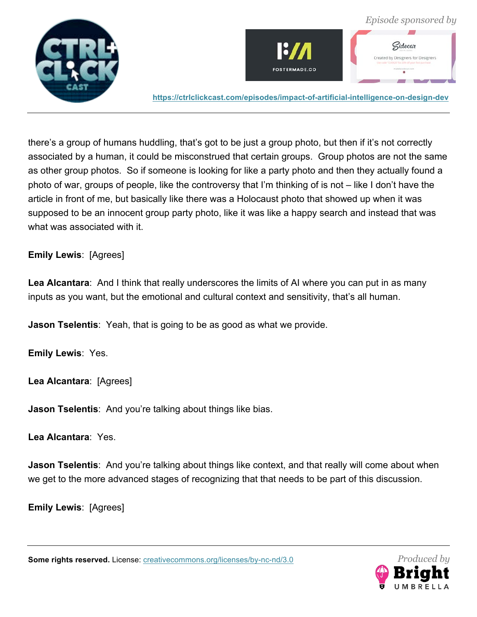



there's a group of humans huddling, that's got to be just a group photo, but then if it's not correctly associated by a human, it could be misconstrued that certain groups. Group photos are not the same as other group photos. So if someone is looking for like a party photo and then they actually found a photo of war, groups of people, like the controversy that I'm thinking of is not – like I don't have the article in front of me, but basically like there was a Holocaust photo that showed up when it was supposed to be an innocent group party photo, like it was like a happy search and instead that was what was associated with it.

**Emily Lewis**: [Agrees]

**Lea Alcantara**: And I think that really underscores the limits of AI where you can put in as many inputs as you want, but the emotional and cultural context and sensitivity, that's all human.

**Jason Tselentis**: Yeah, that is going to be as good as what we provide.

**Emily Lewis**: Yes.

**Lea Alcantara**: [Agrees]

**Jason Tselentis**: And you're talking about things like bias.

**Lea Alcantara**: Yes.

**Jason Tselentis**: And you're talking about things like context, and that really will come about when we get to the more advanced stages of recognizing that that needs to be part of this discussion.

**Emily Lewis**: [Agrees]

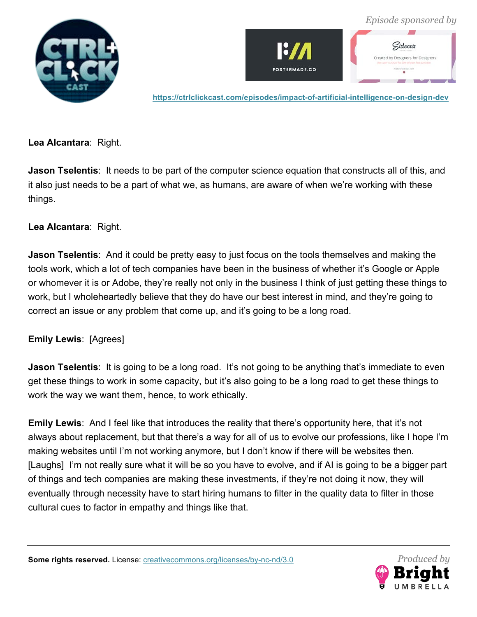



**Lea Alcantara**: Right.

**Jason Tselentis**: It needs to be part of the computer science equation that constructs all of this, and it also just needs to be a part of what we, as humans, are aware of when we're working with these things.

**Lea Alcantara**: Right.

**Jason Tselentis**: And it could be pretty easy to just focus on the tools themselves and making the tools work, which a lot of tech companies have been in the business of whether it's Google or Apple or whomever it is or Adobe, they're really not only in the business I think of just getting these things to work, but I wholeheartedly believe that they do have our best interest in mind, and they're going to correct an issue or any problem that come up, and it's going to be a long road.

#### **Emily Lewis**: [Agrees]

**Jason Tselentis**: It is going to be a long road. It's not going to be anything that's immediate to even get these things to work in some capacity, but it's also going to be a long road to get these things to work the way we want them, hence, to work ethically.

**Emily Lewis**: And I feel like that introduces the reality that there's opportunity here, that it's not always about replacement, but that there's a way for all of us to evolve our professions, like I hope I'm making websites until I'm not working anymore, but I don't know if there will be websites then. [Laughs] I'm not really sure what it will be so you have to evolve, and if AI is going to be a bigger part of things and tech companies are making these investments, if they're not doing it now, they will eventually through necessity have to start hiring humans to filter in the quality data to filter in those cultural cues to factor in empathy and things like that.

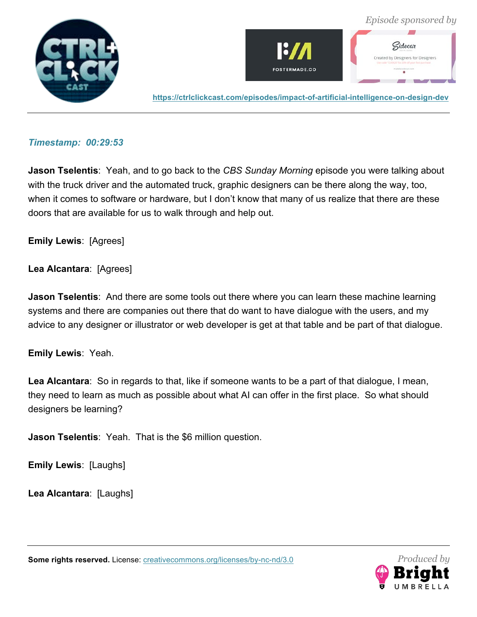



## *Timestamp: 00:29:53*

**Jason Tselentis**: Yeah, and to go back to the *CBS Sunday Morning* episode you were talking about with the truck driver and the automated truck, graphic designers can be there along the way, too, when it comes to software or hardware, but I don't know that many of us realize that there are these doors that are available for us to walk through and help out.

**Emily Lewis**: [Agrees]

**Lea Alcantara**: [Agrees]

**Jason Tselentis**: And there are some tools out there where you can learn these machine learning systems and there are companies out there that do want to have dialogue with the users, and my advice to any designer or illustrator or web developer is get at that table and be part of that dialogue.

**Emily Lewis**: Yeah.

**Lea Alcantara**: So in regards to that, like if someone wants to be a part of that dialogue, I mean, they need to learn as much as possible about what AI can offer in the first place. So what should designers be learning?

**Jason Tselentis**: Yeah. That is the \$6 million question.

**Emily Lewis**: [Laughs]

**Lea Alcantara**: [Laughs]

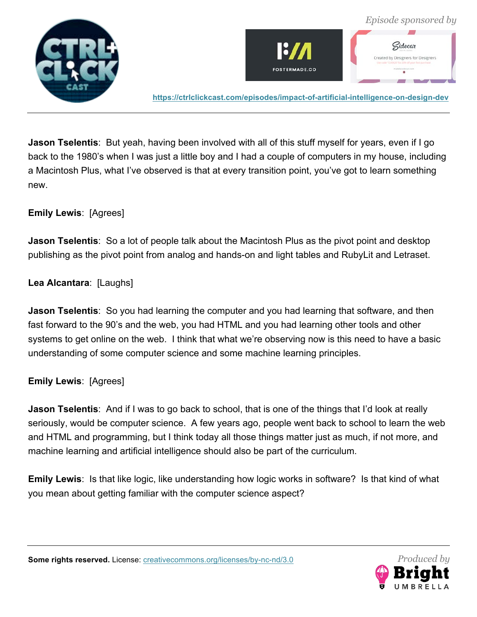



**Jason Tselentis**: But yeah, having been involved with all of this stuff myself for years, even if I go back to the 1980's when I was just a little boy and I had a couple of computers in my house, including a Macintosh Plus, what I've observed is that at every transition point, you've got to learn something new.

## **Emily Lewis**: [Agrees]

**Jason Tselentis**: So a lot of people talk about the Macintosh Plus as the pivot point and desktop publishing as the pivot point from analog and hands-on and light tables and RubyLit and Letraset.

## **Lea Alcantara**: [Laughs]

**Jason Tselentis**: So you had learning the computer and you had learning that software, and then fast forward to the 90's and the web, you had HTML and you had learning other tools and other systems to get online on the web. I think that what we're observing now is this need to have a basic understanding of some computer science and some machine learning principles.

#### **Emily Lewis**: [Agrees]

**Jason Tselentis**: And if I was to go back to school, that is one of the things that I'd look at really seriously, would be computer science. A few years ago, people went back to school to learn the web and HTML and programming, but I think today all those things matter just as much, if not more, and machine learning and artificial intelligence should also be part of the curriculum.

**Emily Lewis**: Is that like logic, like understanding how logic works in software? Is that kind of what you mean about getting familiar with the computer science aspect?

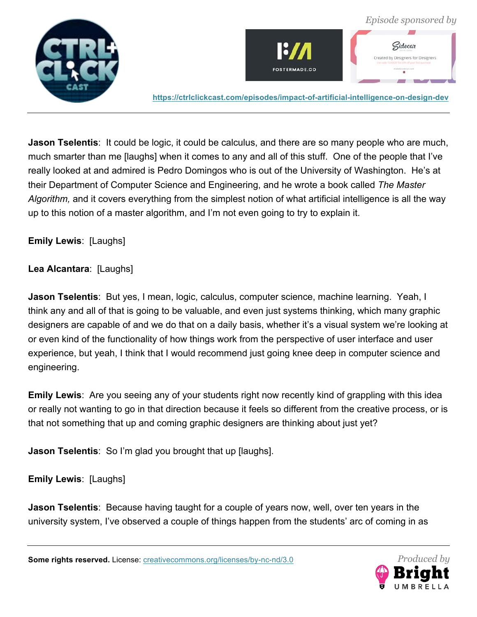



**Jason Tselentis**: It could be logic, it could be calculus, and there are so many people who are much, much smarter than me [laughs] when it comes to any and all of this stuff. One of the people that I've really looked at and admired is Pedro Domingos who is out of the University of Washington. He's at their Department of Computer Science and Engineering, and he wrote a book called *The Master Algorithm,* and it covers everything from the simplest notion of what artificial intelligence is all the way up to this notion of a master algorithm, and I'm not even going to try to explain it.

**Emily Lewis**: [Laughs]

**Lea Alcantara**: [Laughs]

**Jason Tselentis**: But yes, I mean, logic, calculus, computer science, machine learning. Yeah, I think any and all of that is going to be valuable, and even just systems thinking, which many graphic designers are capable of and we do that on a daily basis, whether it's a visual system we're looking at or even kind of the functionality of how things work from the perspective of user interface and user experience, but yeah, I think that I would recommend just going knee deep in computer science and engineering.

**Emily Lewis**: Are you seeing any of your students right now recently kind of grappling with this idea or really not wanting to go in that direction because it feels so different from the creative process, or is that not something that up and coming graphic designers are thinking about just yet?

**Jason Tselentis**: So I'm glad you brought that up [laughs].

**Emily Lewis**: [Laughs]

**Jason Tselentis**: Because having taught for a couple of years now, well, over ten years in the university system, I've observed a couple of things happen from the students' arc of coming in as

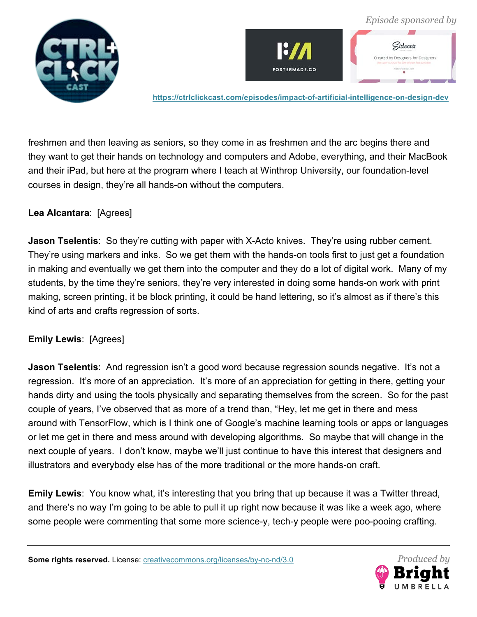



freshmen and then leaving as seniors, so they come in as freshmen and the arc begins there and they want to get their hands on technology and computers and Adobe, everything, and their MacBook and their iPad, but here at the program where I teach at Winthrop University, our foundation-level courses in design, they're all hands-on without the computers.

# **Lea Alcantara**: [Agrees]

**Jason Tselentis**: So they're cutting with paper with X-Acto knives. They're using rubber cement. They're using markers and inks. So we get them with the hands-on tools first to just get a foundation in making and eventually we get them into the computer and they do a lot of digital work. Many of my students, by the time they're seniors, they're very interested in doing some hands-on work with print making, screen printing, it be block printing, it could be hand lettering, so it's almost as if there's this kind of arts and crafts regression of sorts.

#### **Emily Lewis**: [Agrees]

**Jason Tselentis**: And regression isn't a good word because regression sounds negative. It's not a regression. It's more of an appreciation. It's more of an appreciation for getting in there, getting your hands dirty and using the tools physically and separating themselves from the screen. So for the past couple of years, I've observed that as more of a trend than, "Hey, let me get in there and mess around with TensorFlow, which is I think one of Google's machine learning tools or apps or languages or let me get in there and mess around with developing algorithms. So maybe that will change in the next couple of years. I don't know, maybe we'll just continue to have this interest that designers and illustrators and everybody else has of the more traditional or the more hands-on craft.

**Emily Lewis**: You know what, it's interesting that you bring that up because it was a Twitter thread, and there's no way I'm going to be able to pull it up right now because it was like a week ago, where some people were commenting that some more science-y, tech-y people were poo-pooing crafting.

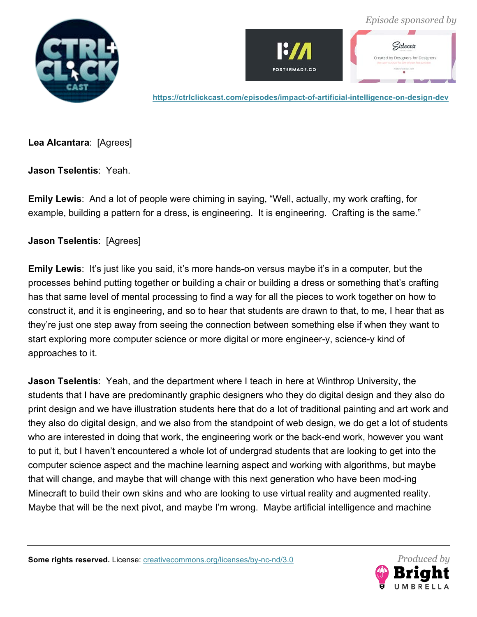



**Lea Alcantara**: [Agrees]

**Jason Tselentis**: Yeah.

**Emily Lewis**: And a lot of people were chiming in saying, "Well, actually, my work crafting, for example, building a pattern for a dress, is engineering. It is engineering. Crafting is the same."

# **Jason Tselentis**: [Agrees]

**Emily Lewis**: It's just like you said, it's more hands-on versus maybe it's in a computer, but the processes behind putting together or building a chair or building a dress or something that's crafting has that same level of mental processing to find a way for all the pieces to work together on how to construct it, and it is engineering, and so to hear that students are drawn to that, to me, I hear that as they're just one step away from seeing the connection between something else if when they want to start exploring more computer science or more digital or more engineer-y, science-y kind of approaches to it.

**Jason Tselentis**: Yeah, and the department where I teach in here at Winthrop University, the students that I have are predominantly graphic designers who they do digital design and they also do print design and we have illustration students here that do a lot of traditional painting and art work and they also do digital design, and we also from the standpoint of web design, we do get a lot of students who are interested in doing that work, the engineering work or the back-end work, however you want to put it, but I haven't encountered a whole lot of undergrad students that are looking to get into the computer science aspect and the machine learning aspect and working with algorithms, but maybe that will change, and maybe that will change with this next generation who have been mod-ing Minecraft to build their own skins and who are looking to use virtual reality and augmented reality. Maybe that will be the next pivot, and maybe I'm wrong. Maybe artificial intelligence and machine

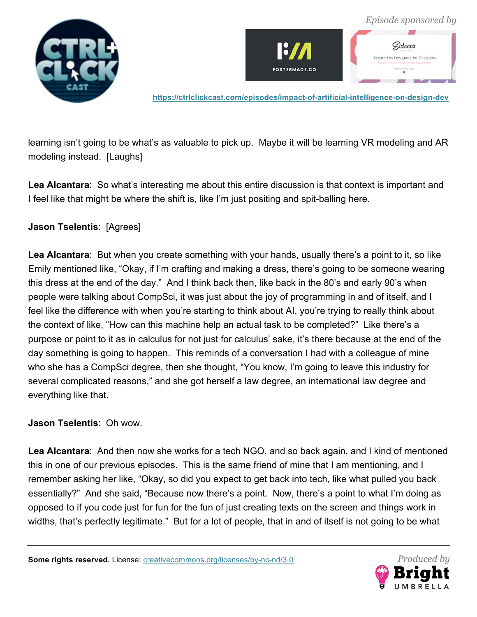



learning isn't going to be what's as valuable to pick up. Maybe it will be learning VR modeling and AR modeling instead. [Laughs]

**Lea Alcantara**: So what's interesting me about this entire discussion is that context is important and I feel like that might be where the shift is, like I'm just positing and spit-balling here.

# **Jason Tselentis**: [Agrees]

**Lea Alcantara**: But when you create something with your hands, usually there's a point to it, so like Emily mentioned like, "Okay, if I'm crafting and making a dress, there's going to be someone wearing this dress at the end of the day." And I think back then, like back in the 80's and early 90's when people were talking about CompSci, it was just about the joy of programming in and of itself, and I feel like the difference with when you're starting to think about AI, you're trying to really think about the context of like, "How can this machine help an actual task to be completed?" Like there's a purpose or point to it as in calculus for not just for calculus' sake, it's there because at the end of the day something is going to happen. This reminds of a conversation I had with a colleague of mine who she has a CompSci degree, then she thought, "You know, I'm going to leave this industry for several complicated reasons," and she got herself a law degree, an international law degree and everything like that.

#### **Jason Tselentis**: Oh wow.

**Lea Alcantara**: And then now she works for a tech NGO, and so back again, and I kind of mentioned this in one of our previous episodes. This is the same friend of mine that I am mentioning, and I remember asking her like, "Okay, so did you expect to get back into tech, like what pulled you back essentially?" And she said, "Because now there's a point. Now, there's a point to what I'm doing as opposed to if you code just for fun for the fun of just creating texts on the screen and things work in widths, that's perfectly legitimate." But for a lot of people, that in and of itself is not going to be what

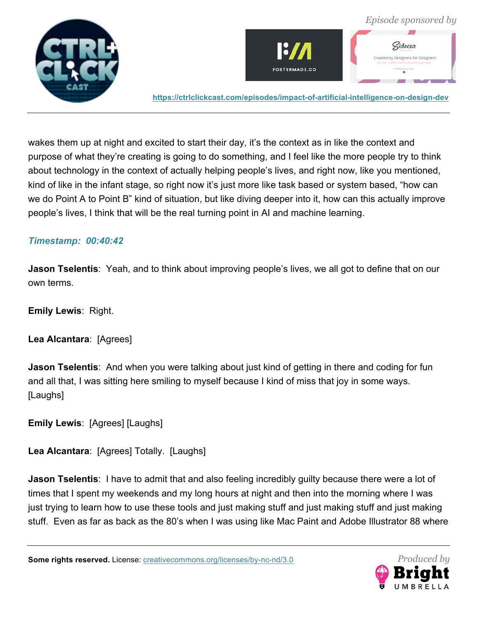



wakes them up at night and excited to start their day, it's the context as in like the context and purpose of what they're creating is going to do something, and I feel like the more people try to think about technology in the context of actually helping people's lives, and right now, like you mentioned, kind of like in the infant stage, so right now it's just more like task based or system based, "how can we do Point A to Point B" kind of situation, but like diving deeper into it, how can this actually improve people's lives, I think that will be the real turning point in AI and machine learning.

## *Timestamp: 00:40:42*

**Jason Tselentis**: Yeah, and to think about improving people's lives, we all got to define that on our own terms.

**Emily Lewis**: Right.

**Lea Alcantara**: [Agrees]

**Jason Tselentis**: And when you were talking about just kind of getting in there and coding for fun and all that, I was sitting here smiling to myself because I kind of miss that joy in some ways. [Laughs]

**Emily Lewis**: [Agrees] [Laughs]

**Lea Alcantara**: [Agrees] Totally. [Laughs]

**Jason Tselentis**: I have to admit that and also feeling incredibly guilty because there were a lot of times that I spent my weekends and my long hours at night and then into the morning where I was just trying to learn how to use these tools and just making stuff and just making stuff and just making stuff. Even as far as back as the 80's when I was using like Mac Paint and Adobe Illustrator 88 where

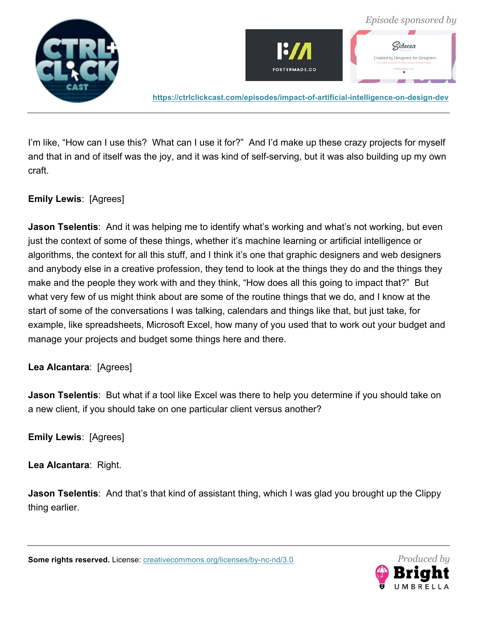



I'm like, "How can I use this? What can I use it for?" And I'd make up these crazy projects for myself and that in and of itself was the joy, and it was kind of self-serving, but it was also building up my own craft.

# **Emily Lewis**: [Agrees]

**Jason Tselentis**: And it was helping me to identify what's working and what's not working, but even just the context of some of these things, whether it's machine learning or artificial intelligence or algorithms, the context for all this stuff, and I think it's one that graphic designers and web designers and anybody else in a creative profession, they tend to look at the things they do and the things they make and the people they work with and they think, "How does all this going to impact that?" But what very few of us might think about are some of the routine things that we do, and I know at the start of some of the conversations I was talking, calendars and things like that, but just take, for example, like spreadsheets, Microsoft Excel, how many of you used that to work out your budget and manage your projects and budget some things here and there.

# **Lea Alcantara**: [Agrees]

**Jason Tselentis**: But what if a tool like Excel was there to help you determine if you should take on a new client, if you should take on one particular client versus another?

**Emily Lewis**: [Agrees]

**Lea Alcantara**: Right.

**Jason Tselentis**: And that's that kind of assistant thing, which I was glad you brought up the Clippy thing earlier.

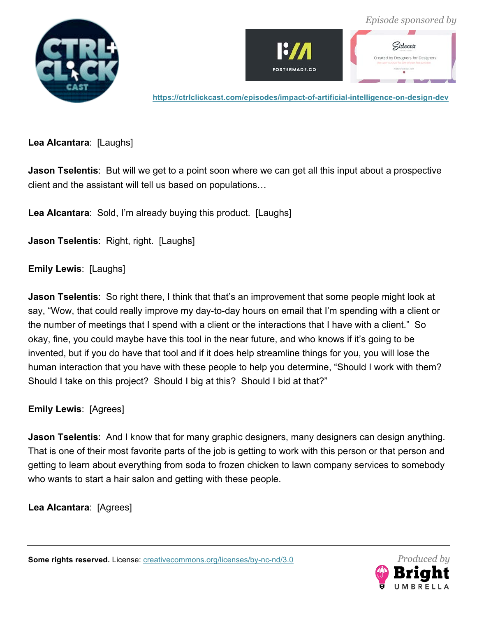



**Lea Alcantara**: [Laughs]

**Jason Tselentis**: But will we get to a point soon where we can get all this input about a prospective client and the assistant will tell us based on populations…

**Lea Alcantara**: Sold, I'm already buying this product. [Laughs]

**Jason Tselentis**: Right, right. [Laughs]

**Emily Lewis**: [Laughs]

**Jason Tselentis**: So right there, I think that that's an improvement that some people might look at say, "Wow, that could really improve my day-to-day hours on email that I'm spending with a client or the number of meetings that I spend with a client or the interactions that I have with a client." So okay, fine, you could maybe have this tool in the near future, and who knows if it's going to be invented, but if you do have that tool and if it does help streamline things for you, you will lose the human interaction that you have with these people to help you determine, "Should I work with them? Should I take on this project? Should I big at this? Should I bid at that?"

**Emily Lewis**: [Agrees]

**Jason Tselentis**: And I know that for many graphic designers, many designers can design anything. That is one of their most favorite parts of the job is getting to work with this person or that person and getting to learn about everything from soda to frozen chicken to lawn company services to somebody who wants to start a hair salon and getting with these people.

**Lea Alcantara**: [Agrees]

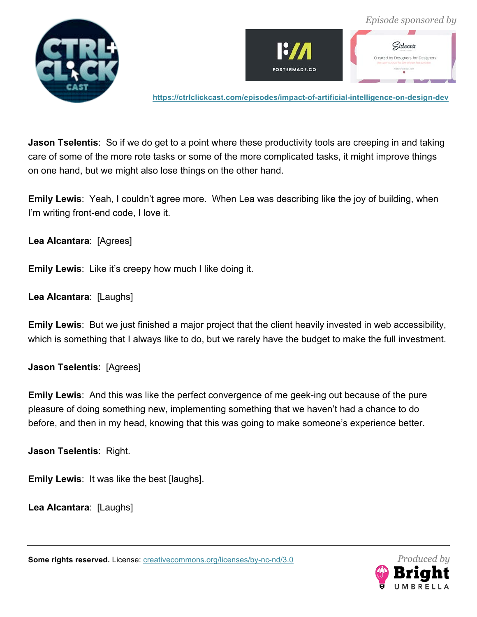



**Jason Tselentis**: So if we do get to a point where these productivity tools are creeping in and taking care of some of the more rote tasks or some of the more complicated tasks, it might improve things on one hand, but we might also lose things on the other hand.

**Emily Lewis**: Yeah, I couldn't agree more. When Lea was describing like the joy of building, when I'm writing front-end code, I love it.

**Lea Alcantara**: [Agrees]

**Emily Lewis**: Like it's creepy how much I like doing it.

**Lea Alcantara**: [Laughs]

**Emily Lewis**: But we just finished a major project that the client heavily invested in web accessibility, which is something that I always like to do, but we rarely have the budget to make the full investment.

**Jason Tselentis**: [Agrees]

**Emily Lewis**: And this was like the perfect convergence of me geek-ing out because of the pure pleasure of doing something new, implementing something that we haven't had a chance to do before, and then in my head, knowing that this was going to make someone's experience better.

**Jason Tselentis**: Right.

**Emily Lewis**: It was like the best [laughs].

**Lea Alcantara**: [Laughs]

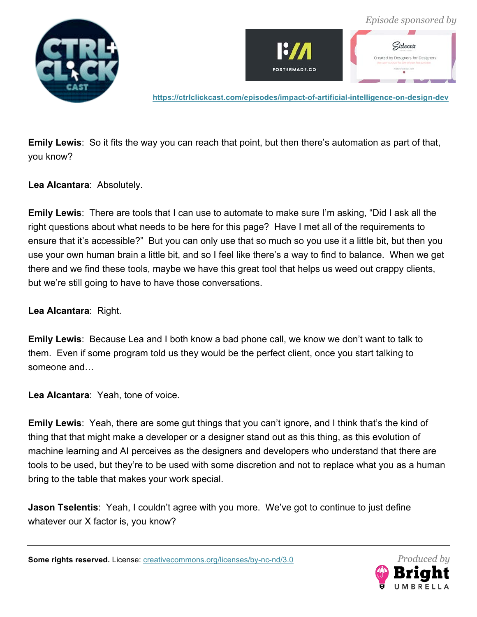



**Emily Lewis**: So it fits the way you can reach that point, but then there's automation as part of that, you know?

**Lea Alcantara**: Absolutely.

**Emily Lewis**: There are tools that I can use to automate to make sure I'm asking, "Did I ask all the right questions about what needs to be here for this page? Have I met all of the requirements to ensure that it's accessible?" But you can only use that so much so you use it a little bit, but then you use your own human brain a little bit, and so I feel like there's a way to find to balance. When we get there and we find these tools, maybe we have this great tool that helps us weed out crappy clients, but we're still going to have to have those conversations.

**Lea Alcantara**: Right.

**Emily Lewis**: Because Lea and I both know a bad phone call, we know we don't want to talk to them. Even if some program told us they would be the perfect client, once you start talking to someone and…

**Lea Alcantara**: Yeah, tone of voice.

**Emily Lewis**: Yeah, there are some gut things that you can't ignore, and I think that's the kind of thing that that might make a developer or a designer stand out as this thing, as this evolution of machine learning and AI perceives as the designers and developers who understand that there are tools to be used, but they're to be used with some discretion and not to replace what you as a human bring to the table that makes your work special.

**Jason Tselentis**: Yeah, I couldn't agree with you more. We've got to continue to just define whatever our X factor is, you know?

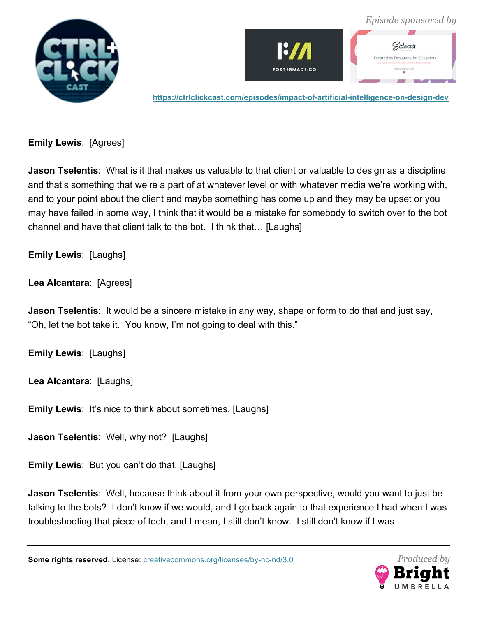



**Emily Lewis**: [Agrees]

**Jason Tselentis**: What is it that makes us valuable to that client or valuable to design as a discipline and that's something that we're a part of at whatever level or with whatever media we're working with, and to your point about the client and maybe something has come up and they may be upset or you may have failed in some way, I think that it would be a mistake for somebody to switch over to the bot channel and have that client talk to the bot. I think that… [Laughs]

**Emily Lewis**: [Laughs]

**Lea Alcantara**: [Agrees]

**Jason Tselentis**: It would be a sincere mistake in any way, shape or form to do that and just say, "Oh, let the bot take it. You know, I'm not going to deal with this."

**Emily Lewis**: [Laughs]

**Lea Alcantara**: [Laughs]

**Emily Lewis:** It's nice to think about sometimes. [Laughs]

**Jason Tselentis**: Well, why not? [Laughs]

**Emily Lewis**: But you can't do that. [Laughs]

**Jason Tselentis**: Well, because think about it from your own perspective, would you want to just be talking to the bots? I don't know if we would, and I go back again to that experience I had when I was troubleshooting that piece of tech, and I mean, I still don't know. I still don't know if I was

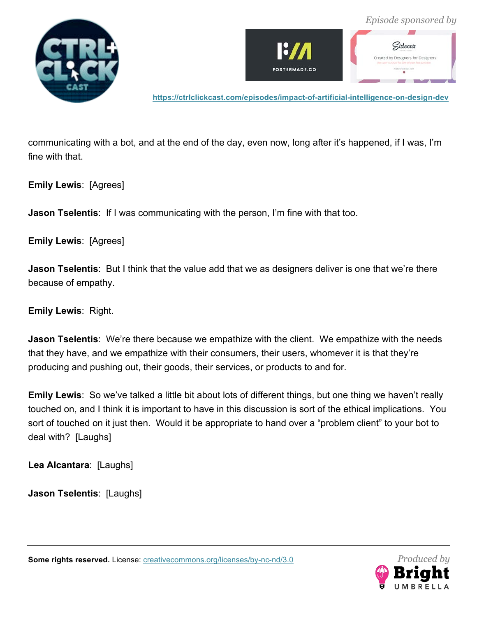



communicating with a bot, and at the end of the day, even now, long after it's happened, if I was, I'm fine with that.

**Emily Lewis**: [Agrees]

**Jason Tselentis**: If I was communicating with the person, I'm fine with that too.

**Emily Lewis**: [Agrees]

**Jason Tselentis**: But I think that the value add that we as designers deliver is one that we're there because of empathy.

**Emily Lewis**: Right.

**Jason Tselentis**: We're there because we empathize with the client. We empathize with the needs that they have, and we empathize with their consumers, their users, whomever it is that they're producing and pushing out, their goods, their services, or products to and for.

**Emily Lewis**: So we've talked a little bit about lots of different things, but one thing we haven't really touched on, and I think it is important to have in this discussion is sort of the ethical implications. You sort of touched on it just then. Would it be appropriate to hand over a "problem client" to your bot to deal with? [Laughs]

**Lea Alcantara**: [Laughs]

**Jason Tselentis**: [Laughs]

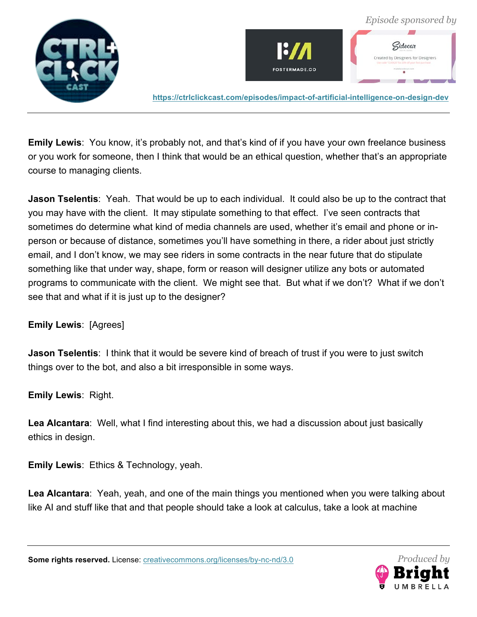



**Emily Lewis**: You know, it's probably not, and that's kind of if you have your own freelance business or you work for someone, then I think that would be an ethical question, whether that's an appropriate course to managing clients.

**Jason Tselentis**: Yeah. That would be up to each individual. It could also be up to the contract that you may have with the client. It may stipulate something to that effect. I've seen contracts that sometimes do determine what kind of media channels are used, whether it's email and phone or inperson or because of distance, sometimes you'll have something in there, a rider about just strictly email, and I don't know, we may see riders in some contracts in the near future that do stipulate something like that under way, shape, form or reason will designer utilize any bots or automated programs to communicate with the client. We might see that. But what if we don't? What if we don't see that and what if it is just up to the designer?

# **Emily Lewis**: [Agrees]

**Jason Tselentis**: I think that it would be severe kind of breach of trust if you were to just switch things over to the bot, and also a bit irresponsible in some ways.

**Emily Lewis**: Right.

**Lea Alcantara**: Well, what I find interesting about this, we had a discussion about just basically ethics in design.

**Emily Lewis**: Ethics & Technology, yeah.

**Lea Alcantara**: Yeah, yeah, and one of the main things you mentioned when you were talking about like AI and stuff like that and that people should take a look at calculus, take a look at machine

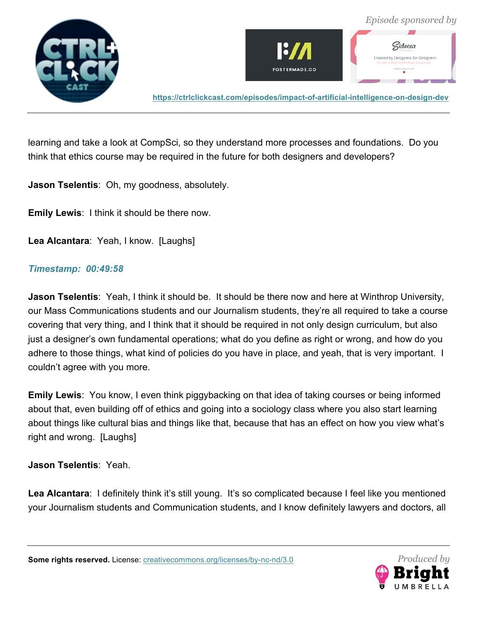



learning and take a look at CompSci, so they understand more processes and foundations. Do you think that ethics course may be required in the future for both designers and developers?

**Jason Tselentis**: Oh, my goodness, absolutely.

**Emily Lewis**: I think it should be there now.

**Lea Alcantara**: Yeah, I know. [Laughs]

## *Timestamp: 00:49:58*

**Jason Tselentis**: Yeah, I think it should be. It should be there now and here at Winthrop University, our Mass Communications students and our Journalism students, they're all required to take a course covering that very thing, and I think that it should be required in not only design curriculum, but also just a designer's own fundamental operations; what do you define as right or wrong, and how do you adhere to those things, what kind of policies do you have in place, and yeah, that is very important. I couldn't agree with you more.

**Emily Lewis**: You know, I even think piggybacking on that idea of taking courses or being informed about that, even building off of ethics and going into a sociology class where you also start learning about things like cultural bias and things like that, because that has an effect on how you view what's right and wrong. [Laughs]

**Jason Tselentis**: Yeah.

**Lea Alcantara**: I definitely think it's still young. It's so complicated because I feel like you mentioned your Journalism students and Communication students, and I know definitely lawyers and doctors, all

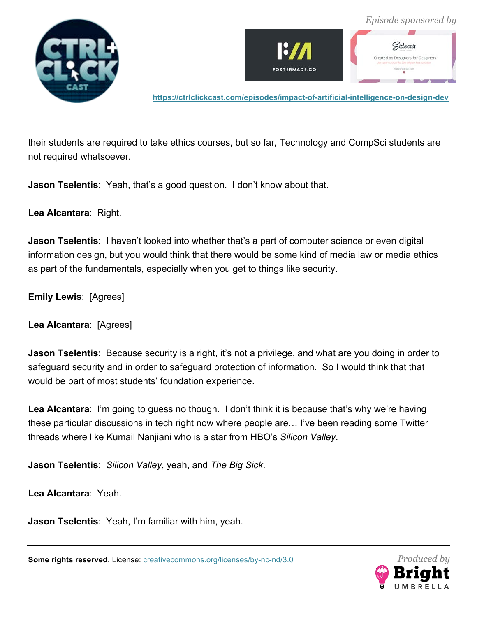



their students are required to take ethics courses, but so far, Technology and CompSci students are not required whatsoever.

**Jason Tselentis**: Yeah, that's a good question. I don't know about that.

**Lea Alcantara**: Right.

**Jason Tselentis**: I haven't looked into whether that's a part of computer science or even digital information design, but you would think that there would be some kind of media law or media ethics as part of the fundamentals, especially when you get to things like security.

**Emily Lewis**: [Agrees]

**Lea Alcantara**: [Agrees]

**Jason Tselentis**: Because security is a right, it's not a privilege, and what are you doing in order to safeguard security and in order to safeguard protection of information. So I would think that that would be part of most students' foundation experience.

**Lea Alcantara**: I'm going to guess no though. I don't think it is because that's why we're having these particular discussions in tech right now where people are… I've been reading some Twitter threads where like Kumail Nanjiani who is a star from HBO's *Silicon Valley*.

**Jason Tselentis**: *Silicon Valley*, yeah, and *The Big Sick*.

**Lea Alcantara**: Yeah.

**Jason Tselentis**: Yeah, I'm familiar with him, yeah.

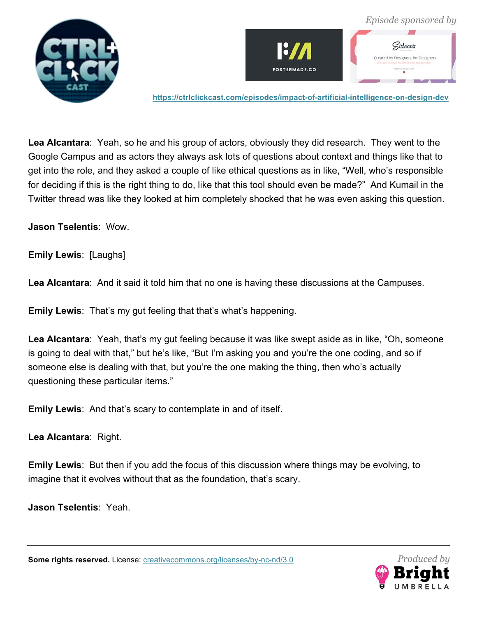



**Lea Alcantara**: Yeah, so he and his group of actors, obviously they did research. They went to the Google Campus and as actors they always ask lots of questions about context and things like that to get into the role, and they asked a couple of like ethical questions as in like, "Well, who's responsible for deciding if this is the right thing to do, like that this tool should even be made?" And Kumail in the Twitter thread was like they looked at him completely shocked that he was even asking this question.

**Jason Tselentis**: Wow.

**Emily Lewis**: [Laughs]

**Lea Alcantara**: And it said it told him that no one is having these discussions at the Campuses.

**Emily Lewis**: That's my gut feeling that that's what's happening.

**Lea Alcantara**: Yeah, that's my gut feeling because it was like swept aside as in like, "Oh, someone is going to deal with that," but he's like, "But I'm asking you and you're the one coding, and so if someone else is dealing with that, but you're the one making the thing, then who's actually questioning these particular items."

**Emily Lewis**: And that's scary to contemplate in and of itself.

**Lea Alcantara**: Right.

**Emily Lewis**: But then if you add the focus of this discussion where things may be evolving, to imagine that it evolves without that as the foundation, that's scary.

**Jason Tselentis**: Yeah.

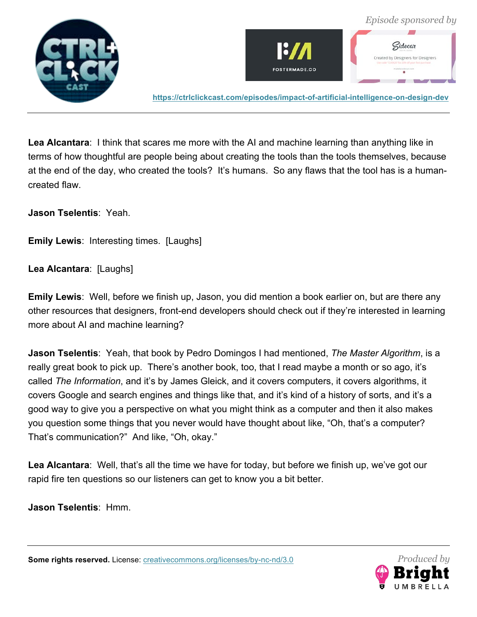



**Lea Alcantara**: I think that scares me more with the AI and machine learning than anything like in terms of how thoughtful are people being about creating the tools than the tools themselves, because at the end of the day, who created the tools? It's humans. So any flaws that the tool has is a humancreated flaw.

**Jason Tselentis**: Yeah.

**Emily Lewis**: Interesting times. [Laughs]

**Lea Alcantara**: [Laughs]

**Emily Lewis**: Well, before we finish up, Jason, you did mention a book earlier on, but are there any other resources that designers, front-end developers should check out if they're interested in learning more about AI and machine learning?

**Jason Tselentis**: Yeah, that book by Pedro Domingos I had mentioned, *The Master Algorithm*, is a really great book to pick up. There's another book, too, that I read maybe a month or so ago, it's called *The Information*, and it's by James Gleick, and it covers computers, it covers algorithms, it covers Google and search engines and things like that, and it's kind of a history of sorts, and it's a good way to give you a perspective on what you might think as a computer and then it also makes you question some things that you never would have thought about like, "Oh, that's a computer? That's communication?" And like, "Oh, okay."

Lea Alcantara: Well, that's all the time we have for today, but before we finish up, we've got our rapid fire ten questions so our listeners can get to know you a bit better.

**Jason Tselentis**: Hmm.

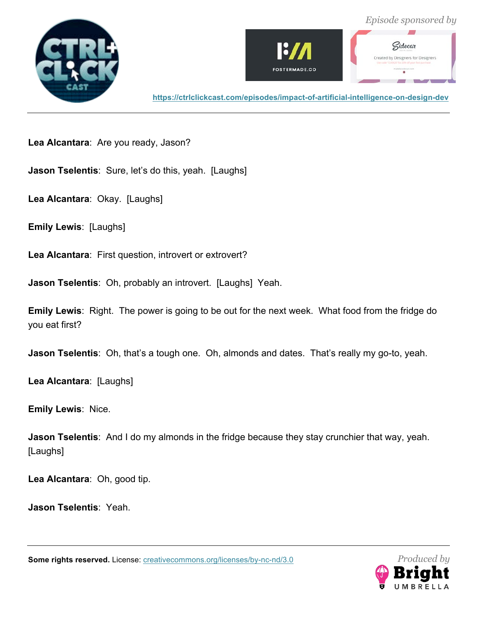



**Lea Alcantara**: Are you ready, Jason?

**Jason Tselentis**: Sure, let's do this, yeah. [Laughs]

**Lea Alcantara**: Okay. [Laughs]

**Emily Lewis**: [Laughs]

**Lea Alcantara**: First question, introvert or extrovert?

**Jason Tselentis**: Oh, probably an introvert. [Laughs] Yeah.

**Emily Lewis**: Right. The power is going to be out for the next week. What food from the fridge do you eat first?

**Jason Tselentis**: Oh, that's a tough one. Oh, almonds and dates. That's really my go-to, yeah.

**Lea Alcantara**: [Laughs]

**Emily Lewis**: Nice.

**Jason Tselentis**: And I do my almonds in the fridge because they stay crunchier that way, yeah. [Laughs]

**Lea Alcantara**: Oh, good tip.

**Jason Tselentis**: Yeah.

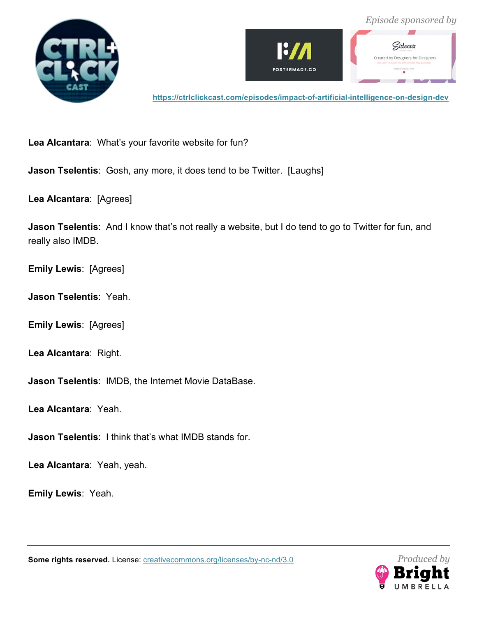





**Lea Alcantara**: What's your favorite website for fun?

**Jason Tselentis**: Gosh, any more, it does tend to be Twitter. [Laughs]

**Lea Alcantara**: [Agrees]

**Jason Tselentis**: And I know that's not really a website, but I do tend to go to Twitter for fun, and really also IMDB.

**Emily Lewis**: [Agrees]

**Jason Tselentis**: Yeah.

**Emily Lewis**: [Agrees]

**Lea Alcantara**: Right.

**Jason Tselentis**: IMDB, the Internet Movie DataBase.

**Lea Alcantara**: Yeah.

**Jason Tselentis**: I think that's what IMDB stands for.

**Lea Alcantara**: Yeah, yeah.

**Emily Lewis**: Yeah.

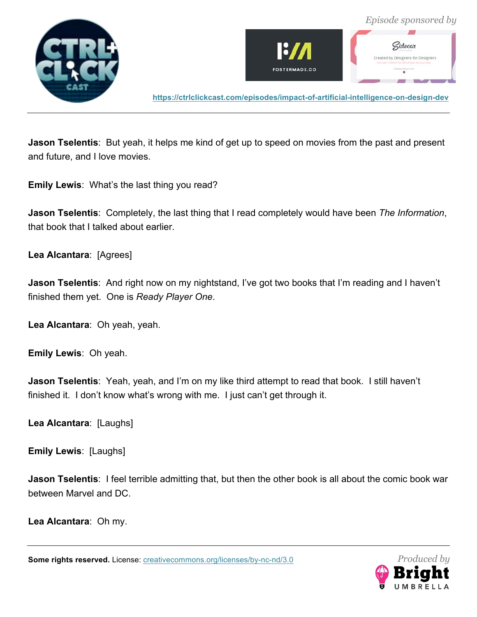





**Jason Tselentis**: But yeah, it helps me kind of get up to speed on movies from the past and present and future, and I love movies.

**Emily Lewis**: What's the last thing you read?

**Jason Tselentis**: Completely, the last thing that I read completely would have been *The Informa*t*ion*, that book that I talked about earlier.

**Lea Alcantara**: [Agrees]

**Jason Tselentis**: And right now on my nightstand, I've got two books that I'm reading and I haven't finished them yet. One is *Ready Player One*.

**Lea Alcantara**: Oh yeah, yeah.

**Emily Lewis**: Oh yeah.

**Jason Tselentis**: Yeah, yeah, and I'm on my like third attempt to read that book. I still haven't finished it. I don't know what's wrong with me. I just can't get through it.

**Lea Alcantara**: [Laughs]

**Emily Lewis**: [Laughs]

**Jason Tselentis**: I feel terrible admitting that, but then the other book is all about the comic book war between Marvel and DC.

**Lea Alcantara**: Oh my.

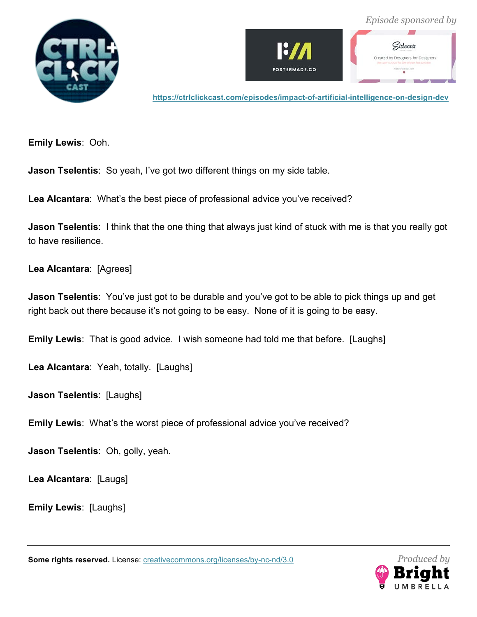





**Emily Lewis**: Ooh.

**Jason Tselentis**: So yeah, I've got two different things on my side table.

**Lea Alcantara**: What's the best piece of professional advice you've received?

**Jason Tselentis**: I think that the one thing that always just kind of stuck with me is that you really got to have resilience.

**Lea Alcantara**: [Agrees]

**Jason Tselentis**: You've just got to be durable and you've got to be able to pick things up and get right back out there because it's not going to be easy. None of it is going to be easy.

**Emily Lewis**: That is good advice. I wish someone had told me that before. [Laughs]

**Lea Alcantara**: Yeah, totally. [Laughs]

**Jason Tselentis**: [Laughs]

**Emily Lewis**: What's the worst piece of professional advice you've received?

**Jason Tselentis**: Oh, golly, yeah.

**Lea Alcantara**: [Laugs]

**Emily Lewis**: [Laughs]

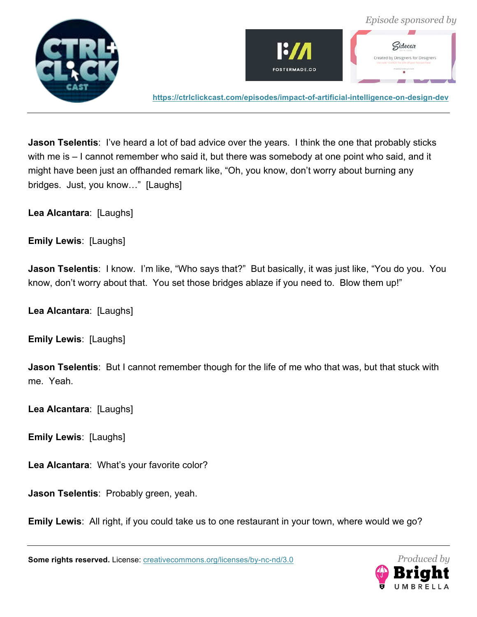



**Jason Tselentis**: I've heard a lot of bad advice over the years. I think the one that probably sticks with me is – I cannot remember who said it, but there was somebody at one point who said, and it might have been just an offhanded remark like, "Oh, you know, don't worry about burning any bridges. Just, you know…" [Laughs]

**Lea Alcantara**: [Laughs]

**Emily Lewis**: [Laughs]

**Jason Tselentis**: I know. I'm like, "Who says that?" But basically, it was just like, "You do you. You know, don't worry about that. You set those bridges ablaze if you need to. Blow them up!"

**Lea Alcantara**: [Laughs]

**Emily Lewis**: [Laughs]

**Jason Tselentis**: But I cannot remember though for the life of me who that was, but that stuck with me. Yeah.

**Lea Alcantara**: [Laughs]

**Emily Lewis**: [Laughs]

**Lea Alcantara**: What's your favorite color?

**Jason Tselentis**: Probably green, yeah.

**Emily Lewis**: All right, if you could take us to one restaurant in your town, where would we go?

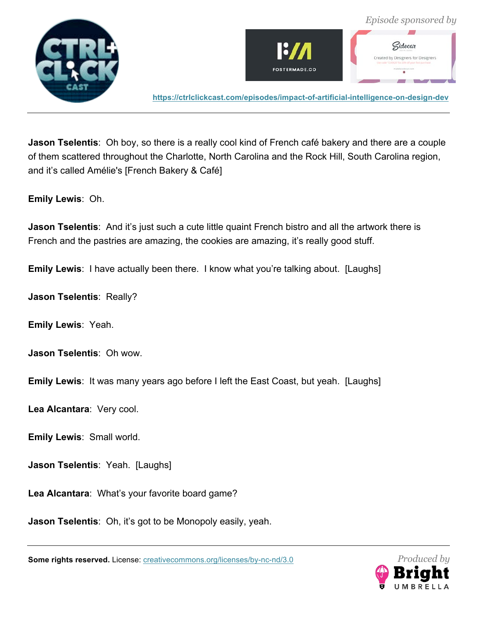



**Jason Tselentis**: Oh boy, so there is a really cool kind of French café bakery and there are a couple of them scattered throughout the Charlotte, North Carolina and the Rock Hill, South Carolina region, and it's called Amélie's [French Bakery & Café]

**Emily Lewis**: Oh.

**Jason Tselentis**: And it's just such a cute little quaint French bistro and all the artwork there is French and the pastries are amazing, the cookies are amazing, it's really good stuff.

**Emily Lewis**: I have actually been there. I know what you're talking about. [Laughs]

**Jason Tselentis**: Really?

**Emily Lewis**: Yeah.

**Jason Tselentis**: Oh wow.

**Emily Lewis**: It was many years ago before I left the East Coast, but yeah. [Laughs]

**Lea Alcantara**: Very cool.

**Emily Lewis**: Small world.

**Jason Tselentis**: Yeah. [Laughs]

**Lea Alcantara**: What's your favorite board game?

**Jason Tselentis**: Oh, it's got to be Monopoly easily, yeah.

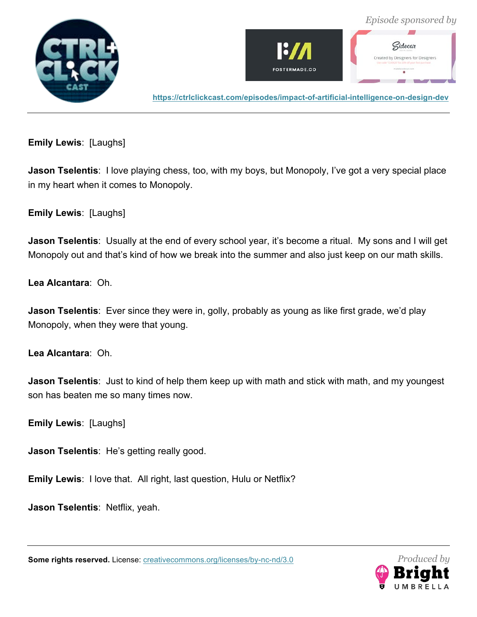



**Emily Lewis**: [Laughs]

**Jason Tselentis**: I love playing chess, too, with my boys, but Monopoly, I've got a very special place in my heart when it comes to Monopoly.

**Emily Lewis**: [Laughs]

**Jason Tselentis**: Usually at the end of every school year, it's become a ritual. My sons and I will get Monopoly out and that's kind of how we break into the summer and also just keep on our math skills.

**Lea Alcantara**: Oh.

**Jason Tselentis**: Ever since they were in, golly, probably as young as like first grade, we'd play Monopoly, when they were that young.

**Lea Alcantara**: Oh.

**Jason Tselentis**: Just to kind of help them keep up with math and stick with math, and my youngest son has beaten me so many times now.

**Emily Lewis**: [Laughs]

**Jason Tselentis**: He's getting really good.

**Emily Lewis**: I love that. All right, last question, Hulu or Netflix?

**Jason Tselentis**: Netflix, yeah.

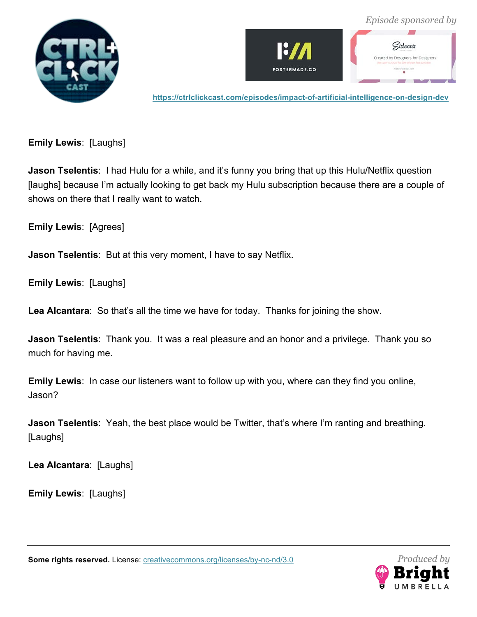



**Emily Lewis**: [Laughs]

**Jason Tselentis**: I had Hulu for a while, and it's funny you bring that up this Hulu/Netflix question [laughs] because I'm actually looking to get back my Hulu subscription because there are a couple of shows on there that I really want to watch.

**Emily Lewis**: [Agrees]

**Jason Tselentis**: But at this very moment, I have to say Netflix.

**Emily Lewis**: [Laughs]

**Lea Alcantara**: So that's all the time we have for today. Thanks for joining the show.

**Jason Tselentis**: Thank you. It was a real pleasure and an honor and a privilege. Thank you so much for having me.

**Emily Lewis**: In case our listeners want to follow up with you, where can they find you online, Jason?

**Jason Tselentis**: Yeah, the best place would be Twitter, that's where I'm ranting and breathing. [Laughs]

**Lea Alcantara**: [Laughs]

**Emily Lewis**: [Laughs]

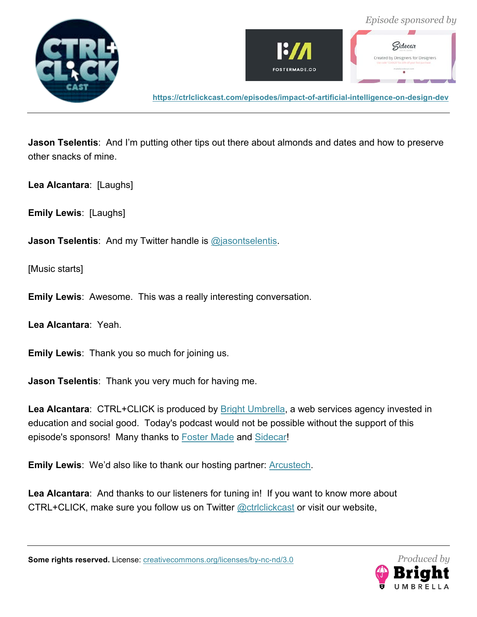



**Jason Tselentis**: And I'm putting other tips out there about almonds and dates and how to preserve other snacks of mine.

**Lea Alcantara**: [Laughs]

**Emily Lewis**: [Laughs]

**Jason Tselentis:** And my Twitter handle is **@**jasontselentis.

[Music starts]

**Emily Lewis**: Awesome. This was a really interesting conversation.

**Lea Alcantara**: Yeah.

**Emily Lewis**: Thank you so much for joining us.

**Jason Tselentis**: Thank you very much for having me.

Lea Alcantara: CTRL+CLICK is produced by **Bright Umbrella**, a web services agency invested in education and social good. Today's podcast would not be possible without the support of this episode's sponsors! Many thanks to **Foster Made and Sidecar!** 

**Emily Lewis**: We'd also like to thank our hosting partner: Arcustech.

**Lea Alcantara**: And thanks to our listeners for tuning in! If you want to know more about CTRL+CLICK, make sure you follow us on Twitter @ctriclickcast or visit our website,